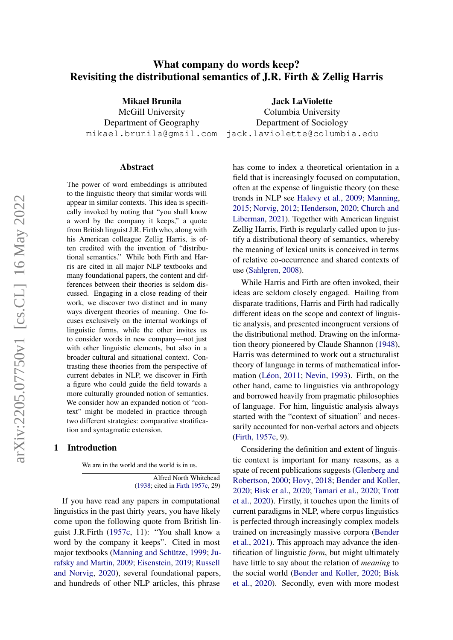# What company do words keep? Revisiting the distributional semantics of J.R. Firth & Zellig Harris

Mikael Brunila McGill University Department of Geography

mikael.brunila@gmail.com jack.laviolette@columbia.edu Jack LaViolette Columbia University Department of Sociology

#### Abstract

The power of word embeddings is attributed to the linguistic theory that similar words will appear in similar contexts. This idea is specifically invoked by noting that "you shall know a word by the company it keeps," a quote from British linguist J.R. Firth who, along with his American colleague Zellig Harris, is often credited with the invention of "distributional semantics." While both Firth and Harris are cited in all major NLP textbooks and many foundational papers, the content and differences between their theories is seldom discussed. Engaging in a close reading of their work, we discover two distinct and in many ways divergent theories of meaning. One focuses exclusively on the internal workings of linguistic forms, while the other invites us to consider words in new company—not just with other linguistic elements, but also in a broader cultural and situational context. Contrasting these theories from the perspective of current debates in NLP, we discover in Firth a figure who could guide the field towards a more culturally grounded notion of semantics. We consider how an expanded notion of "context" might be modeled in practice through two different strategies: comparative stratification and syntagmatic extension.

#### 1 Introduction

We are in the world and the world is in us.

Alfred North Whitehead [\(1938;](#page-14-0) cited in [Firth](#page-11-0) [1957c,](#page-11-0) 29)

If you have read any papers in computational linguistics in the past thirty years, you have likely come upon the following quote from British linguist J.R.Firth [\(1957c,](#page-11-0) 11): "You shall know a word by the company it keeps". Cited in most major textbooks [\(Manning and Schütze,](#page-13-0) [1999;](#page-13-0) [Ju](#page-12-0)[rafsky and Martin,](#page-12-0) [2009;](#page-12-0) [Eisenstein,](#page-10-0) [2019;](#page-10-0) [Russell](#page-14-1) [and Norvig,](#page-14-1) [2020\)](#page-14-1), several foundational papers, and hundreds of other NLP articles, this phrase has come to index a theoretical orientation in a field that is increasingly focused on computation, often at the expense of linguistic theory (on these trends in NLP see [Halevy et al.,](#page-11-1) [2009;](#page-11-1) [Manning,](#page-13-1) [2015;](#page-13-1) [Norvig,](#page-13-2) [2012;](#page-13-2) [Henderson,](#page-12-1) [2020;](#page-12-1) [Church and](#page-10-1) [Liberman,](#page-10-1) [2021\)](#page-10-1). Together with American linguist Zellig Harris, Firth is regularly called upon to justify a distributional theory of semantics, whereby the meaning of lexical units is conceived in terms of relative co-occurrence and shared contexts of use [\(Sahlgren,](#page-14-2) [2008\)](#page-14-2).

While Harris and Firth are often invoked, their ideas are seldom closely engaged. Hailing from disparate traditions, Harris and Firth had radically different ideas on the scope and context of linguistic analysis, and presented incongruent versions of the distributional method. Drawing on the information theory pioneered by Claude Shannon [\(1948\)](#page-14-3), Harris was determined to work out a structuralist theory of language in terms of mathematical information [\(Léon,](#page-13-3) [2011;](#page-13-3) [Nevin,](#page-13-4) [1993\)](#page-13-4). Firth, on the other hand, came to linguistics via anthropology and borrowed heavily from pragmatic philosophies of language. For him, linguistic analysis always started with the "context of situation" and necessarily accounted for non-verbal actors and objects [\(Firth,](#page-11-0) [1957c,](#page-11-0) 9).

Considering the definition and extent of linguistic context is important for many reasons, as a spate of recent publications suggests [\(Glenberg and](#page-11-2) [Robertson,](#page-11-2) [2000;](#page-11-2) [Hovy,](#page-12-2) [2018;](#page-12-2) [Bender and Koller,](#page-9-0) [2020;](#page-9-0) [Bisk et al.,](#page-9-1) [2020;](#page-9-1) [Tamari et al.,](#page-14-4) [2020;](#page-14-4) [Trott](#page-14-5) [et al.,](#page-14-5) [2020\)](#page-14-5). Firstly, it touches upon the limits of current paradigms in NLP, where corpus linguistics is perfected through increasingly complex models trained on increasingly massive corpora [\(Bender](#page-9-2) [et al.,](#page-9-2) [2021\)](#page-9-2). This approach may advance the identification of linguistic *form*, but might ultimately have little to say about the relation of *meaning* to the social world [\(Bender and Koller,](#page-9-0) [2020;](#page-9-0) [Bisk](#page-9-1) [et al.,](#page-9-1) [2020\)](#page-9-1). Secondly, even with more modest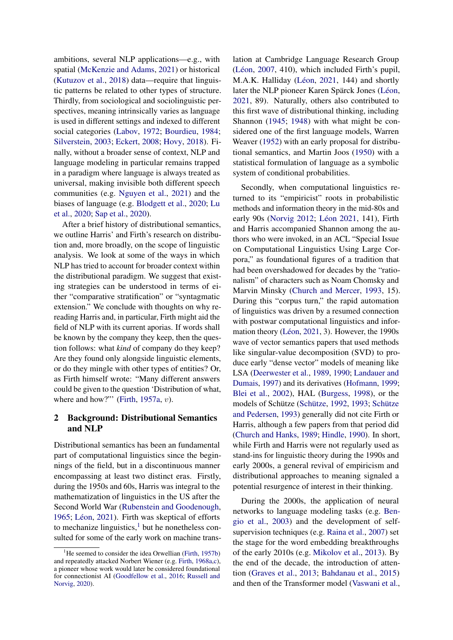ambitions, several NLP applications—e.g., with spatial [\(McKenzie and Adams,](#page-13-5) [2021\)](#page-13-5) or historical [\(Kutuzov et al.,](#page-12-3) [2018\)](#page-12-3) data—require that linguistic patterns be related to other types of structure. Thirdly, from sociological and sociolinguistic perspectives, meaning intrinsically varies as language is used in different settings and indexed to different social categories [\(Labov,](#page-12-4) [1972;](#page-12-4) [Bourdieu,](#page-9-3) [1984;](#page-9-3) [Silverstein,](#page-14-6) [2003;](#page-14-6) [Eckert,](#page-10-2) [2008;](#page-10-2) [Hovy,](#page-12-2) [2018\)](#page-12-2). Finally, without a broader sense of context, NLP and language modeling in particular remains trapped in a paradigm where language is always treated as universal, making invisible both different speech communities (e.g. [Nguyen et al.,](#page-13-6) [2021\)](#page-13-6) and the biases of language (e.g. [Blodgett et al.,](#page-9-4) [2020;](#page-9-4) [Lu](#page-12-5) [et al.,](#page-12-5) [2020;](#page-12-5) [Sap et al.,](#page-14-7) [2020\)](#page-14-7).

After a brief history of distributional semantics, we outline Harris' and Firth's research on distribution and, more broadly, on the scope of linguistic analysis. We look at some of the ways in which NLP has tried to account for broader context within the distributional paradigm. We suggest that existing strategies can be understood in terms of either "comparative stratification" or "syntagmatic extension." We conclude with thoughts on why rereading Harris and, in particular, Firth might aid the field of NLP with its current aporias. If words shall be known by the company they keep, then the question follows: what *kind* of company do they keep? Are they found only alongside linguistic elements, or do they mingle with other types of entities? Or, as Firth himself wrote: "Many different answers could be given to the question 'Distribution of what, where and how?"" [\(Firth,](#page-10-3) [1957a,](#page-10-3) v).

# 2 Background: Distributional Semantics and NLP

Distributional semantics has been an fundamental part of computational linguistics since the beginnings of the field, but in a discontinuous manner encompassing at least two distinct eras. Firstly, during the 1950s and 60s, Harris was integral to the mathematization of linguistics in the US after the Second World War [\(Rubenstein and Goodenough,](#page-14-8) [1965;](#page-14-8) [Léon,](#page-13-7) [2021\)](#page-13-7). Firth was skeptical of efforts to mechanize linguistics, $\frac{1}{1}$  $\frac{1}{1}$  $\frac{1}{1}$  but he nonetheless consulted for some of the early work on machine translation at Cambridge Language Research Group [\(Léon,](#page-13-8) [2007,](#page-13-8) 410), which included Firth's pupil, M.A.K. Halliday [\(Léon,](#page-13-7) [2021,](#page-13-7) 144) and shortly later the NLP pioneer Karen Spärck Jones [\(Léon,](#page-13-7) [2021,](#page-13-7) 89). Naturally, others also contributed to this first wave of distributional thinking, including Shannon [\(1945;](#page-14-9) [1948\)](#page-14-3) with what might be considered one of the first language models, Warren Weaver [\(1952\)](#page-14-10) with an early proposal for distributional semantics, and Martin Joos [\(1950\)](#page-12-6) with a statistical formulation of language as a symbolic system of conditional probabilities.

Secondly, when computational linguistics returned to its "empiricist" roots in probabilistic methods and information theory in the mid-80s and early 90s [\(Norvig](#page-13-2) [2012;](#page-13-2) [Léon](#page-13-7) [2021,](#page-13-7) 141), Firth and Harris accompanied Shannon among the authors who were invoked, in an ACL "Special Issue on Computational Linguistics Using Large Corpora," as foundational figures of a tradition that had been overshadowed for decades by the "rationalism" of characters such as Noam Chomsky and Marvin Minsky [\(Church and Mercer,](#page-10-4) [1993,](#page-10-4) 15). During this "corpus turn," the rapid automation of linguistics was driven by a resumed connection with postwar computational linguistics and information theory [\(Léon,](#page-13-7) [2021,](#page-13-7) 3). However, the 1990s wave of vector semantics papers that used methods like singular-value decomposition (SVD) to produce early "dense vector" models of meaning like LSA [\(Deerwester et al.,](#page-10-5) [1989,](#page-10-5) [1990;](#page-10-6) [Landauer and](#page-12-7) [Dumais,](#page-12-7) [1997\)](#page-12-7) and its derivatives [\(Hofmann,](#page-12-8) [1999;](#page-12-8) [Blei et al.,](#page-9-5) [2002\)](#page-9-5), HAL [\(Burgess,](#page-9-6) [1998\)](#page-9-6), or the models of Schütze [\(Schütze,](#page-14-11) [1992,](#page-14-11) [1993;](#page-14-12) [Schütze](#page-14-13) [and Pedersen,](#page-14-13) [1993\)](#page-14-13) generally did not cite Firth or Harris, although a few papers from that period did [\(Church and Hanks,](#page-10-7) [1989;](#page-10-7) [Hindle,](#page-12-9) [1990\)](#page-12-9). In short, while Firth and Harris were not regularly used as stand-ins for linguistic theory during the 1990s and early 2000s, a general revival of empiricism and distributional approaches to meaning signaled a potential resurgence of interest in their thinking.

During the 2000s, the application of neural networks to language modeling tasks (e.g. [Ben](#page-9-7)[gio et al.,](#page-9-7) [2003\)](#page-9-7) and the development of selfsupervision techniques (e.g. [Raina et al.,](#page-13-9) [2007\)](#page-13-9) set the stage for the word embedding breakthroughs of the early 2010s (e.g. [Mikolov et al.,](#page-13-10) [2013\)](#page-13-10). By the end of the decade, the introduction of attention [\(Graves et al.,](#page-11-7) [2013;](#page-11-7) [Bahdanau et al.,](#page-9-8) [2015\)](#page-9-8) and then of the Transformer model [\(Vaswani et al.,](#page-14-14)

<span id="page-1-0"></span> $1$ <sup>1</sup>He seemed to consider the idea Orwellian [\(Firth,](#page-11-3) [1957b\)](#page-11-3) and repeatedly attacked Norbert Wiener (e.g. [Firth,](#page-11-4) [1968a,](#page-11-4)[c\)](#page-11-5), a pioneer whose work would later be considered foundational for connectionist AI [\(Goodfellow et al.,](#page-11-6) [2016;](#page-11-6) [Russell and](#page-14-1) [Norvig,](#page-14-1) [2020\)](#page-14-1).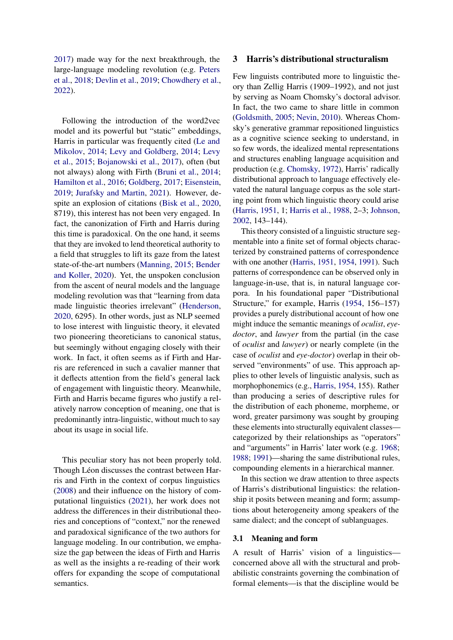[2017\)](#page-14-14) made way for the next breakthrough, the large-language modeling revolution (e.g. [Peters](#page-13-11) [et al.,](#page-13-11) [2018;](#page-13-11) [Devlin et al.,](#page-10-8) [2019;](#page-10-8) [Chowdhery et al.,](#page-10-9) [2022\)](#page-10-9).

Following the introduction of the word2vec model and its powerful but "static" embeddings, Harris in particular was frequently cited [\(Le and](#page-12-10) [Mikolov,](#page-12-10) [2014;](#page-12-10) [Levy and Goldberg,](#page-12-11) [2014;](#page-12-11) [Levy](#page-12-12) [et al.,](#page-12-12) [2015;](#page-12-12) [Bojanowski et al.,](#page-9-9) [2017\)](#page-9-9), often (but not always) along with Firth [\(Bruni et al.,](#page-9-10) [2014;](#page-9-10) [Hamilton et al.,](#page-11-8) [2016;](#page-11-8) [Goldberg,](#page-11-9) [2017;](#page-11-9) [Eisenstein,](#page-10-0) [2019;](#page-10-0) [Jurafsky and Martin,](#page-12-13) [2021\)](#page-12-13). However, despite an explosion of citations [\(Bisk et al.,](#page-9-1) [2020,](#page-9-1) 8719), this interest has not been very engaged. In fact, the canonization of Firth and Harris during this time is paradoxical. On the one hand, it seems that they are invoked to lend theoretical authority to a field that struggles to lift its gaze from the latest state-of-the-art numbers [\(Manning,](#page-13-1) [2015;](#page-13-1) [Bender](#page-9-0) [and Koller,](#page-9-0) [2020\)](#page-9-0). Yet, the unspoken conclusion from the ascent of neural models and the language modeling revolution was that "learning from data made linguistic theories irrelevant" [\(Henderson,](#page-12-1) [2020,](#page-12-1) 6295). In other words, just as NLP seemed to lose interest with linguistic theory, it elevated two pioneering theoreticians to canonical status, but seemingly without engaging closely with their work. In fact, it often seems as if Firth and Harris are referenced in such a cavalier manner that it deflects attention from the field's general lack of engagement with linguistic theory. Meanwhile, Firth and Harris became figures who justify a relatively narrow conception of meaning, one that is predominantly intra-linguistic, without much to say about its usage in social life.

This peculiar story has not been properly told. Though Léon discusses the contrast between Harris and Firth in the context of corpus linguistics [\(2008\)](#page-13-12) and their influence on the history of computational linguistics [\(2021\)](#page-13-7), her work does not address the differences in their distributional theories and conceptions of "context," nor the renewed and paradoxical significance of the two authors for language modeling. In our contribution, we emphasize the gap between the ideas of Firth and Harris as well as the insights a re-reading of their work offers for expanding the scope of computational semantics.

#### 3 Harris's distributional structuralism

Few linguists contributed more to linguistic theory than Zellig Harris (1909–1992), and not just by serving as Noam Chomsky's doctoral advisor. In fact, the two came to share little in common [\(Goldsmith,](#page-11-10) [2005;](#page-11-10) [Nevin,](#page-13-13) [2010\)](#page-13-13). Whereas Chomsky's generative grammar repositioned linguistics as a cognitive science seeking to understand, in so few words, the idealized mental representations and structures enabling language acquisition and production (e.g. [Chomsky,](#page-10-10) [1972\)](#page-10-10), Harris' radically distributional approach to language effectively elevated the natural language corpus as the sole starting point from which linguistic theory could arise [\(Harris,](#page-11-11) [1951,](#page-11-11) 1; [Harris et al.,](#page-12-14) [1988,](#page-12-14) 2–3; [Johnson,](#page-12-15) [2002,](#page-12-15) 143–144).

This theory consisted of a linguistic structure segmentable into a finite set of formal objects characterized by constrained patterns of correspondence with one another [\(Harris,](#page-11-11) [1951,](#page-11-11) [1954,](#page-12-16) [1991\)](#page-12-17). Such patterns of correspondence can be observed only in language-in-use, that is, in natural language corpora. In his foundational paper "Distributional Structure," for example, Harris [\(1954,](#page-12-16) 156–157) provides a purely distributional account of how one might induce the semantic meanings of *oculist*, *eyedoctor*, and *lawyer* from the partial (in the case of *oculist* and *lawyer*) or nearly complete (in the case of *oculist* and *eye-doctor*) overlap in their observed "environments" of use. This approach applies to other levels of linguistic analysis, such as morphophonemics (e.g., [Harris,](#page-12-16) [1954,](#page-12-16) 155). Rather than producing a series of descriptive rules for the distribution of each phoneme, morpheme, or word, greater parsimony was sought by grouping these elements into structurally equivalent classes categorized by their relationships as "operators" and "arguments" in Harris' later work (e.g. [1968;](#page-12-18) [1988;](#page-12-19) [1991\)](#page-12-17)—sharing the same distributional rules, compounding elements in a hierarchical manner.

In this section we draw attention to three aspects of Harris's distributional linguistics: the relationship it posits between meaning and form; assumptions about heterogeneity among speakers of the same dialect; and the concept of sublanguages.

## 3.1 Meaning and form

A result of Harris' vision of a linguistics concerned above all with the structural and probabilistic constraints governing the combination of formal elements—is that the discipline would be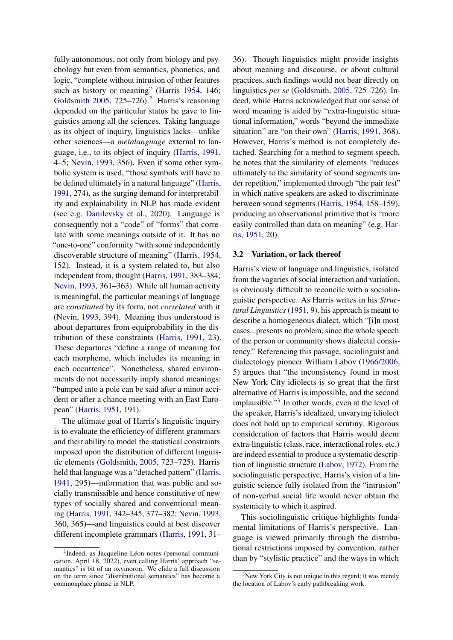fully autonomous, not only from biology and psychology but even from semantics, phonetics, and logic, "complete without intrusion of other features such as history or meaning" [\(Harris](#page-12-16) [1954,](#page-12-16) 146; [Goldsmith](#page-11-10) [2005,](#page-11-10) 7[2](#page-3-0)5–726).<sup>2</sup> Harris's reasoning depended on the particular status he gave to linguistics among all the sciences. Taking language as its object of inquiry, linguistics lacks—unlike other sciences—a *metalanguage* external to language, i.e., to its object of inquiry [\(Harris,](#page-12-17) [1991,](#page-12-17) 4–5; [Nevin,](#page-13-4) [1993,](#page-13-4) 356). Even if some other symbolic system is used, "those symbols will have to be defined ultimately in a natural language" [\(Harris,](#page-12-17) [1991,](#page-12-17) 274), as the surging demand for interpretability and explainability in NLP has made evident (see e.g. [Danilevsky et al.,](#page-10-11) [2020\)](#page-10-11). Language is consequently not a "code" of "forms" that correlate with some meanings outside of it. It has no "one-to-one" conformity "with some independently discoverable structure of meaning" [\(Harris,](#page-12-16) [1954,](#page-12-16) 152). Instead, it is a system related to, but also independent from, thought [\(Harris,](#page-12-17) [1991,](#page-12-17) 383–384; [Nevin,](#page-13-4) [1993,](#page-13-4) 361–363). While all human activity is meaningful, the particular meanings of language are *constituted* by its form, not *correlated* with it [\(Nevin,](#page-13-4) [1993,](#page-13-4) 394). Meaning thus understood is about departures from equiprobability in the distribution of these constraints [\(Harris,](#page-12-17) [1991,](#page-12-17) 23). These departures "define a range of meaning for each morpheme, which includes its meaning in each occurrence". Nonetheless, shared environments do not necessarily imply shared meanings: "bumped into a pole can be said after a minor accident or after a chance meeting with an East European" [\(Harris,](#page-11-11) [1951,](#page-11-11) 191).

The ultimate goal of Harris's linguistic inquiry is to evaluate the efficiency of different grammars and their ability to model the statistical constraints imposed upon the distribution of different linguistic elements [\(Goldsmith,](#page-11-10) [2005,](#page-11-10) 723–725). Harris held that language was a "detached pattern" [\(Harris,](#page-11-12) [1941,](#page-11-12) 295)—information that was public and socially transmissible and hence constitutive of new types of socially shared and conventional meaning [\(Harris,](#page-12-17) [1991,](#page-12-17) 342–345, 377–382; [Nevin,](#page-13-4) [1993,](#page-13-4) 360, 365)—and linguistics could at best discover different incomplete grammars [\(Harris,](#page-12-17) [1991,](#page-12-17) 31– 36). Though linguistics might provide insights about meaning and discourse, or about cultural practices, such findings would not bear directly on linguistics *per se* [\(Goldsmith,](#page-11-10) [2005,](#page-11-10) 725–726). Indeed, while Harris acknowledged that our sense of word meaning is aided by "extra-linguistic situational information," words "beyond the immediate situation" are "on their own" [\(Harris,](#page-12-17) [1991,](#page-12-17) 368). However, Harris's method is not completely detached. Searching for a method to segment speech, he notes that the similarity of elements "reduces ultimately to the similarity of sound segments under repetition," implemented through "the pair test" in which native speakers are asked to discriminate between sound segments [\(Harris,](#page-12-16) [1954,](#page-12-16) 158–159), producing an observational primitive that is "more easily controlled than data on meaning" (e.g. [Har](#page-11-11)[ris,](#page-11-11) [1951,](#page-11-11) 20).

#### 3.2 Variation, or lack thereof

Harris's view of language and linguistics, isolated from the vagaries of social interaction and variation, is obviously difficult to reconcile with a sociolinguistic perspective. As Harris writes in his *Structural Linguistics* [\(1951,](#page-11-11) 9), his approach is meant to describe a homogeneous dialect, which "[i]n most cases...presents no problem, since the whole speech of the person or community shows dialectal consistency." Referencing this passage, sociolinguist and dialectology pioneer William Labov [\(1966/2006,](#page-12-20) 5) argues that "the inconsistency found in most New York City idiolects is so great that the first alternative of Harris is impossible, and the second implausible."<sup>[3](#page-3-1)</sup> In other words, even at the level of the speaker, Harris's idealized, unvarying idiolect does not hold up to empirical scrutiny. Rigorous consideration of factors that Harris would deem extra-linguistic (class, race, interactional roles, etc.) are indeed essential to produce a systematic description of linguistic structure [\(Labov,](#page-12-4) [1972\)](#page-12-4). From the sociolinguistic perspective, Harris's vision of a linguistic science fully isolated from the "intrusion" of non-verbal social life would never obtain the systemicity to which it aspired.

This sociolinguistic critique highlights fundamental limitations of Harris's perspective. Language is viewed primarily through the distributional restrictions imposed by convention, rather than by "stylistic practice" and the ways in which

<span id="page-3-0"></span><sup>&</sup>lt;sup>2</sup>Indeed, as Jacqueline Léon notes (personal communication, April 18, 2022), even calling Harris' approach "semantics" is bit of an oxymoron. We elide a full discussion on the term since "distributional semantics" has become a commonplace phrase in NLP.

<span id="page-3-1"></span><sup>&</sup>lt;sup>3</sup>New York City is not unique in this regard; it was merely the location of Labov's early pathbreaking work.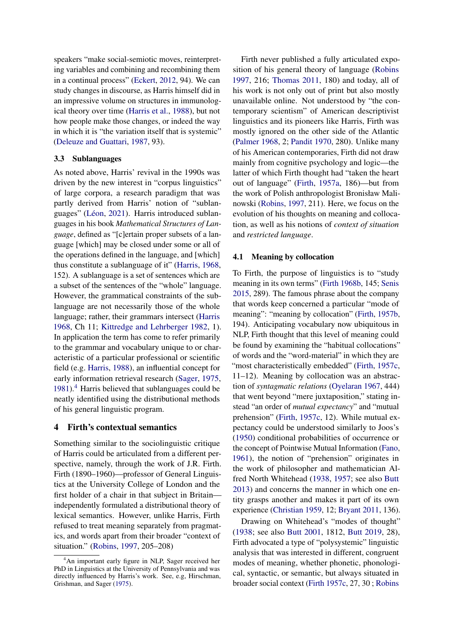speakers "make social-semiotic moves, reinterpreting variables and combining and recombining them in a continual process" [\(Eckert,](#page-10-12) [2012,](#page-10-12) 94). We can study changes in discourse, as Harris himself did in an impressive volume on structures in immunological theory over time [\(Harris et al.,](#page-12-14) [1988\)](#page-12-14), but not how people make those changes, or indeed the way in which it is "the variation itself that is systemic" [\(Deleuze and Guattari,](#page-10-13) [1987,](#page-10-13) 93).

## 3.3 Sublanguages

As noted above, Harris' revival in the 1990s was driven by the new interest in "corpus linguistics" of large corpora, a research paradigm that was partly derived from Harris' notion of "sublanguages" [\(Léon,](#page-13-7) [2021\)](#page-13-7). Harris introduced sublanguages in his book *Mathematical Structures of Language*, defined as "[c]ertain proper subsets of a language [which] may be closed under some or all of the operations defined in the language, and [which] thus constitute a sublanguage of it" [\(Harris,](#page-12-18) [1968,](#page-12-18) 152). A sublanguage is a set of sentences which are a subset of the sentences of the "whole" language. However, the grammatical constraints of the sublanguage are not necessarily those of the whole language; rather, their grammars intersect [\(Harris](#page-12-18) [1968,](#page-12-18) Ch 11; [Kittredge and Lehrberger](#page-12-21) [1982,](#page-12-21) 1). In application the term has come to refer primarily to the grammar and vocabulary unique to or characteristic of a particular professional or scientific field (e.g. [Harris,](#page-12-19) [1988\)](#page-12-19), an influential concept for early information retrieval research [\(Sager,](#page-14-15) [1975,](#page-14-15) [1981\)](#page-14-16).[4](#page-4-0) Harris believed that sublanguages could be neatly identified using the distributional methods of his general linguistic program.

## 4 Firth's contextual semantics

Something similar to the sociolinguistic critique of Harris could be articulated from a different perspective, namely, through the work of J.R. Firth. Firth (1890–1960)—professor of General Linguistics at the University College of London and the first holder of a chair in that subject in Britain independently formulated a distributional theory of lexical semantics. However, unlike Harris, Firth refused to treat meaning separately from pragmatics, and words apart from their broader "context of situation." [\(Robins,](#page-14-17) [1997,](#page-14-17) 205–208)

Firth never published a fully articulated exposition of his general theory of language [\(Robins](#page-14-17) [1997,](#page-14-17) 216; [Thomas](#page-14-18) [2011,](#page-14-18) 180) and today, all of his work is not only out of print but also mostly unavailable online. Not understood by "the contemporary scientism" of American descriptivist linguistics and its pioneers like Harris, Firth was mostly ignored on the other side of the Atlantic [\(Palmer](#page-13-14) [1968,](#page-13-14) 2; [Pandit](#page-13-15) [1970,](#page-13-15) 280). Unlike many of his American contemporaries, Firth did not draw mainly from cognitive psychology and logic—the latter of which Firth thought had "taken the heart out of language" [\(Firth,](#page-10-3) [1957a,](#page-10-3) 186)—but from the work of Polish anthropologist Bronisław Malinowski [\(Robins,](#page-14-17) [1997,](#page-14-17) 211). Here, we focus on the evolution of his thoughts on meaning and collocation, as well as his notions of *context of situation* and *restricted language*.

#### 4.1 Meaning by collocation

To Firth, the purpose of linguistics is to "study meaning in its own terms" [\(Firth](#page-11-13) [1968b,](#page-11-13) 145; [Senis](#page-14-19) [2015,](#page-14-19) 289). The famous phrase about the company that words keep concerned a particular "mode of meaning": "meaning by collocation" [\(Firth,](#page-11-3) [1957b,](#page-11-3) 194). Anticipating vocabulary now ubiquitous in NLP, Firth thought that this level of meaning could be found by examining the "habitual collocations" of words and the "word-material" in which they are "most characteristically embedded" [\(Firth,](#page-11-0) [1957c,](#page-11-0) 11–12). Meaning by collocation was an abstraction of *syntagmatic relations* [\(Oyelaran](#page-13-16) [1967,](#page-13-16) 444) that went beyond "mere juxtaposition," stating instead "an order of *mutual expectancy*" and "mutual prehension" [\(Firth,](#page-11-0) [1957c,](#page-11-0) 12). While mutual expectancy could be understood similarly to Joos's [\(1950\)](#page-12-6) conditional probabilities of occurrence or the concept of Pointwise Mutual Information [\(Fano,](#page-10-14) [1961\)](#page-10-14), the notion of "prehension" originates in the work of philosopher and mathematician Alfred North Whitehead [\(1938,](#page-14-0) [1957;](#page-14-20) see also [Butt](#page-9-11) [2013\)](#page-9-11) and concerns the manner in which one entity grasps another and makes it part of its own experience [\(Christian](#page-10-15) [1959,](#page-10-15) 12; [Bryant](#page-9-12) [2011,](#page-9-12) 136).

Drawing on Whitehead's "modes of thought" [\(1938;](#page-14-0) see also [Butt](#page-9-13) [2001,](#page-9-13) 1812, [Butt](#page-10-16) [2019,](#page-10-16) 28), Firth advocated a type of "polysystemic" linguistic analysis that was interested in different, congruent modes of meaning, whether phonetic, phonological, syntactic, or semantic, but always situated in broader social context [\(Firth](#page-11-0) [1957c,](#page-11-0) 27, 30 ; [Robins](#page-14-17)

<span id="page-4-0"></span><sup>&</sup>lt;sup>4</sup>An important early figure in NLP, Sager received her PhD in Linguistics at the University of Pennsylvania and was directly influenced by Harris's work. See, e.g, Hirschman, Grishman, and Sager [\(1975\)](#page-12-22).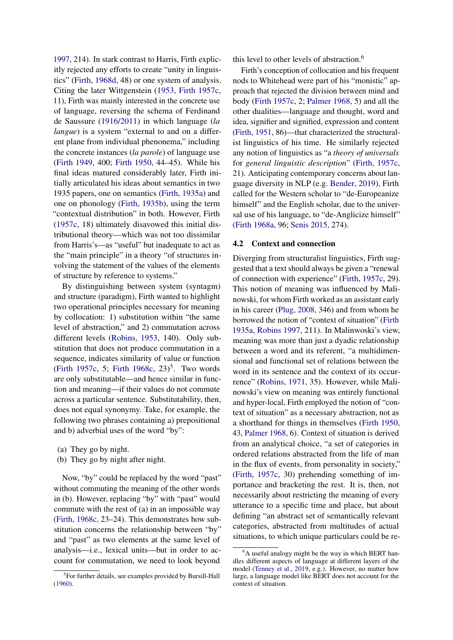[1997,](#page-14-17) 214). In stark contrast to Harris, Firth explicitly rejected any efforts to create "unity in linguistics" [\(Firth,](#page-11-14) [1968d,](#page-11-14) 48) or one system of analysis. Citing the later Wittgenstein [\(1953,](#page-14-21) [Firth](#page-11-0) [1957c,](#page-11-0) 11), Firth was mainly interested in the concrete use of language, reversing the schema of Ferdinand de Saussure [\(1916/2011\)](#page-10-17) in which language (*la langue*) is a system "external to and on a different plane from individual phenonema," including the concrete instances (*la parole*) of language use [\(Firth](#page-10-18) [1949,](#page-10-18) 400; [Firth](#page-10-19) [1950,](#page-10-19) 44–45). While his final ideas matured considerably later, Firth initially articulated his ideas about semantics in two 1935 papers, one on semantics [\(Firth,](#page-10-20) [1935a\)](#page-10-20) and one on phonology [\(Firth,](#page-10-21) [1935b\)](#page-10-21), using the term "contextual distribution" in both. However, Firth [\(1957c,](#page-11-0) 18) ultimately disavowed this initial distributional theory—which was not too dissimilar from Harris's—as "useful" but inadequate to act as the "main principle" in a theory "of structures involving the statement of the values of the elements of structure by reference to systems."

By distinguishing between system (syntagm) and structure (paradigm), Firth wanted to highlight two operational principles necessary for meaning by collocation: 1) substitution within "the same level of abstraction," and 2) commutation across different levels [\(Robins,](#page-13-17) [1953,](#page-13-17) 140). Only substitution that does not produce commutation in a sequence, indicates similarity of value or function [\(Firth](#page-11-0) [1957c,](#page-11-0) 5; [Firth](#page-11-5) [1968c,](#page-11-5)  $23$ )<sup>[5](#page-5-0)</sup>. Two words are only substitutable—and hence similar in function and meaning—if their values do not commute across a particular sentence. Substitutability, then, does not equal synonymy. Take, for example, the following two phrases containing a) prepositional and b) adverbial uses of the word "by":

- (a) They go by night.
- (b) They go by night after night.

Now, "by" could be replaced by the word "past" without commuting the meaning of the other words in (b). However, replacing "by" with "past" would commute with the rest of (a) in an impossible way [\(Firth,](#page-11-5) [1968c,](#page-11-5) 23–24). This demonstrates how substitution concerns the relationship between "by" and "past" as two elements at the same level of analysis—i.e., lexical units—but in order to account for commutation, we need to look beyond

this level to other levels of abstraction.<sup>[6](#page-5-1)</sup>

Firth's conception of collocation and his frequent nods to Whitehead were part of his "monistic" approach that rejected the division between mind and body [\(Firth](#page-11-0) [1957c,](#page-11-0) 2; [Palmer](#page-13-14) [1968,](#page-13-14) 5) and all the other dualities—language and thought, word and idea, signifier and signified, expression and content [\(Firth,](#page-10-22) [1951,](#page-10-22) 86)—that characterized the structuralist linguistics of his time. He similarly rejected any notion of linguistics as "a *theory of universals* for *general linguistic description*" [\(Firth,](#page-11-0) [1957c,](#page-11-0) 21). Anticipating contemporary concerns about language diversity in NLP (e.g. [Bender,](#page-9-15) [2019\)](#page-9-15), Firth called for the Western scholar to "de-Europeanize himself" and the English scholar, due to the universal use of his language, to "de-Anglicize himself" [\(Firth](#page-11-4) [1968a,](#page-11-4) 96; [Senis](#page-14-19) [2015,](#page-14-19) 274).

#### 4.2 Context and connection

Diverging from structuralist linguistics, Firth suggested that a text should always be given a "renewal of connection with experience" [\(Firth,](#page-11-0) [1957c,](#page-11-0) 29). This notion of meaning was influenced by Malinowski, for whom Firth worked as an assistant early in his career [\(Plug,](#page-13-18) [2008,](#page-13-18) 346) and from whom he borrowed the notion of "context of situation" [\(Firth](#page-10-20) [1935a,](#page-10-20) [Robins](#page-14-17) [1997,](#page-14-17) 211). In Malinwoski's view, meaning was more than just a dyadic relationship between a word and its referent, "a multidimensional and functional set of relations between the word in its sentence and the context of its occurrence" [\(Robins,](#page-14-22) [1971,](#page-14-22) 35). However, while Malinowski's view on meaning was entirely functional and hyper-local, Firth employed the notion of "context of situation" as a necessary abstraction, not as a shorthand for things in themselves [\(Firth](#page-10-19) [1950,](#page-10-19) 43, [Palmer](#page-13-14) [1968,](#page-13-14) 6). Context of situation is derived from an analytical choice, "a set of categories in ordered relations abstracted from the life of man in the flux of events, from personality in society," [\(Firth,](#page-11-0) [1957c,](#page-11-0) 30) prehending something of importance and bracketing the rest. It is, then, not necessarily about restricting the meaning of every utterance to a specific time and place, but about defining "an abstract set of semantically relevant categories, abstracted from multitudes of actual situations, to which unique particulars could be re-

<span id="page-5-0"></span><sup>&</sup>lt;sup>5</sup>For further details, see examples provided by Bursill-Hall [\(1960\)](#page-9-14).

<span id="page-5-1"></span> ${}^{6}$ A useful analogy might be the way in which BERT handles different aspects of language at different layers of the model [\(Tenney et al.,](#page-14-23) [2019,](#page-14-23) e.g.). However, no matter how large, a language model like BERT does not account for the context of situation.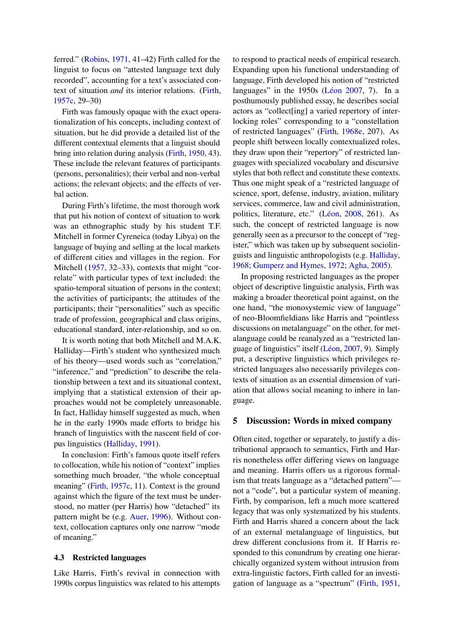ferred." [\(Robins,](#page-14-22) [1971,](#page-14-22) 41–42) Firth called for the linguist to focus on "attested language text duly recorded", accounting for a text's associated context of situation *and* its interior relations. [\(Firth,](#page-11-0) [1957c,](#page-11-0) 29–30)

Firth was famously opaque with the exact operationalization of his concepts, including context of situation, but he did provide a detailed list of the different contextual elements that a linguist should bring into relation during analysis [\(Firth,](#page-10-19) [1950,](#page-10-19) 43). These include the relevant features of participants (persons, personalities); their verbal and non-verbal actions; the relevant objects; and the effects of verbal action.

During Firth's lifetime, the most thorough work that put his notion of context of situation to work was an ethnographic study by his student T.F. Mitchell in former Cyreneica (today Libya) on the language of buying and selling at the local markets of different cities and villages in the region. For Mitchell [\(1957,](#page-13-19) 32–33), contexts that might "correlate" with particular types of text included: the spatio-temporal situation of persons in the context; the activities of participants; the attitudes of the participants; their "personalities" such as specific trade of profession, geographical and class origins, educational standard, inter-relationship, and so on.

It is worth noting that both Mitchell and M.A.K. Halliday—Firth's student who synthesized much of his theory—used words such as "correlation," "inference," and "prediction" to describe the relationship between a text and its situational context, implying that a statistical extension of their approaches would not be completely unreasonable. In fact, Halliday himself suggested as much, when he in the early 1990s made efforts to bridge his branch of linguistics with the nascent field of corpus linguistics [\(Halliday,](#page-11-15) [1991\)](#page-11-15).

In conclusion: Firth's famous quote itself refers to collocation, while his notion of "context" implies something much broader, "the whole conceptual meaning" [\(Firth,](#page-11-0) [1957c,](#page-11-0) 11). Context is the ground against which the figure of the text must be understood, no matter (per Harris) how "detached" its pattern might be (e.g. [Auer,](#page-9-16) [1996\)](#page-9-16). Without context, collocation captures only one narrow "mode of meaning."

#### 4.3 Restricted languages

Like Harris, Firth's revival in connection with 1990s corpus linguistics was related to his attempts to respond to practical needs of empirical research. Expanding upon his functional understanding of language, Firth developed his notion of "restricted languages" in the 1950s [\(Léon](#page-13-8) [2007,](#page-13-8) 7). In a posthumously published essay, he describes social actors as "collect[ing] a varied repertory of interlocking roles" corresponding to a "constellation of restricted languages" [\(Firth,](#page-11-16) [1968e,](#page-11-16) 207). As people shift between locally contextualized roles, they draw upon their "repertory" of restricted languages with specialized vocabulary and discursive styles that both reflect and constitute these contexts. Thus one might speak of a "restricted language of science, sport, defense, industry, aviation, military services, commerce, law and civil administration, politics, literature, etc." [\(Léon,](#page-13-12) [2008,](#page-13-12) 261). As such, the concept of restricted language is now generally seen as a precursor to the concept of "register," which was taken up by subsequent sociolinguists and linguistic anthropologists (e.g. [Halliday,](#page-11-17) [1968;](#page-11-17) [Gumperz and Hymes,](#page-11-18) [1972;](#page-11-18) [Agha,](#page-9-17) [2005\)](#page-9-17).

In proposing restricted languages as the proper object of descriptive linguistic analysis, Firth was making a broader theoretical point against, on the one hand, "the monosystemic view of language" of neo-Bloomfieldians like Harris and "pointless discussions on metalanguage" on the other, for metalanguage could be reanalyzed as a "restricted language of linguistics" itself [\(Léon,](#page-13-8) [2007,](#page-13-8) 9). Simply put, a descriptive linguistics which privileges restricted languages also necessarily privileges contexts of situation as an essential dimension of variation that allows social meaning to inhere in language.

#### 5 Discussion: Words in mixed company

Often cited, together or separately, to justify a distributional appraoch to semantics, Firth and Harris nonetheless offer differing views on language and meaning. Harris offers us a rigorous formalism that treats language as a "detached pattern" not a "code", but a particular system of meaning. Firth, by comparison, left a much more scattered legacy that was only systematized by his students. Firth and Harris shared a concern about the lack of an external metalanguage of linguistics, but drew different conclusions from it. If Harris responded to this conundrum by creating one hierarchically organized system without intrusion from extra-linguistic factors, Firth called for an investigation of language as a "spectrum" [\(Firth,](#page-10-22) [1951,](#page-10-22)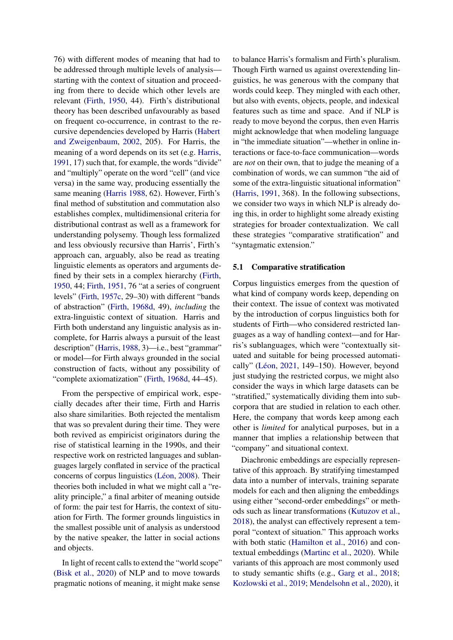76) with different modes of meaning that had to be addressed through multiple levels of analysis starting with the context of situation and proceeding from there to decide which other levels are relevant [\(Firth,](#page-10-19) [1950,](#page-10-19) 44). Firth's distributional theory has been described unfavourably as based on frequent co-occurrence, in contrast to the recursive dependencies developed by Harris [\(Habert](#page-11-19) [and Zweigenbaum,](#page-11-19) [2002,](#page-11-19) 205). For Harris, the meaning of a word depends on its set (e.g. [Harris,](#page-12-17) [1991,](#page-12-17) 17) such that, for example, the words "divide" and "multiply" operate on the word "cell" (and vice versa) in the same way, producing essentially the same meaning [\(Harris](#page-12-19) [1988,](#page-12-19) 62). However, Firth's final method of substitution and commutation also establishes complex, multidimensional criteria for distributional contrast as well as a framework for understanding polysemy. Though less formalized and less obviously recursive than Harris', Firth's approach can, arguably, also be read as treating linguistic elements as operators and arguments defined by their sets in a complex hierarchy [\(Firth,](#page-10-19) [1950,](#page-10-19) 44; [Firth,](#page-10-22) [1951,](#page-10-22) 76 "at a series of congruent levels" [\(Firth,](#page-11-0) [1957c,](#page-11-0) 29–30) with different "bands of abstraction" [\(Firth,](#page-11-14) [1968d,](#page-11-14) 49), *including* the extra-linguistic context of situation. Harris and Firth both understand any linguistic analysis as incomplete, for Harris always a pursuit of the least description" [\(Harris,](#page-12-19) [1988,](#page-12-19) 3)—i.e., best "grammar" or model—for Firth always grounded in the social construction of facts, without any possibility of "complete axiomatization" [\(Firth,](#page-11-14) [1968d,](#page-11-14) 44–45).

From the perspective of empirical work, especially decades after their time, Firth and Harris also share similarities. Both rejected the mentalism that was so prevalent during their time. They were both revived as empiricist originators during the rise of statistical learning in the 1990s, and their respective work on restricted languages and sublanguages largely conflated in service of the practical concerns of corpus linguistics [\(Léon,](#page-13-12) [2008\)](#page-13-12). Their theories both included in what we might call a "reality principle," a final arbiter of meaning outside of form: the pair test for Harris, the context of situation for Firth. The former grounds linguistics in the smallest possible unit of analysis as understood by the native speaker, the latter in social actions and objects.

In light of recent calls to extend the "world scope" [\(Bisk et al.,](#page-9-1) [2020\)](#page-9-1) of NLP and to move towards pragmatic notions of meaning, it might make sense

to balance Harris's formalism and Firth's pluralism. Though Firth warned us against overextending linguistics, he was generous with the company that words could keep. They mingled with each other, but also with events, objects, people, and indexical features such as time and space. And if NLP is ready to move beyond the corpus, then even Harris might acknowledge that when modeling language in "the immediate situation"—whether in online interactions or face-to-face communication—words are *not* on their own, that to judge the meaning of a combination of words, we can summon "the aid of some of the extra-linguistic situational information" [\(Harris,](#page-12-17) [1991,](#page-12-17) 368). In the following subsections, we consider two ways in which NLP is already doing this, in order to highlight some already existing strategies for broader contextualization. We call these strategies "comparative stratification" and "syntagmatic extension."

#### 5.1 Comparative stratification

Corpus linguistics emerges from the question of what kind of company words keep, depending on their context. The issue of context was motivated by the introduction of corpus linguistics both for students of Firth—who considered restricted languages as a way of handling context—and for Harris's sublanguages, which were "contextually situated and suitable for being processed automatically" [\(Léon,](#page-13-7) [2021,](#page-13-7) 149–150). However, beyond just studying the restricted corpus, we might also consider the ways in which large datasets can be "stratified," systematically dividing them into subcorpora that are studied in relation to each other. Here, the company that words keep among each other is *limited* for analytical purposes, but in a manner that implies a relationship between that "company" and situational context.

Diachronic embeddings are especially representative of this approach. By stratifying timestamped data into a number of intervals, training separate models for each and then aligning the embeddings using either "second-order embeddings" or methods such as linear transformations [\(Kutuzov et al.,](#page-12-3) [2018\)](#page-12-3), the analyst can effectively represent a temporal "context of situation." This approach works with both static [\(Hamilton et al.,](#page-11-8) [2016\)](#page-11-8) and contextual embeddings [\(Martinc et al.,](#page-13-20) [2020\)](#page-13-20). While variants of this approach are most commonly used to study semantic shifts (e.g., [Garg et al.,](#page-11-20) [2018;](#page-11-20) [Kozlowski et al.,](#page-12-23) [2019;](#page-12-23) [Mendelsohn et al.,](#page-13-21) [2020\)](#page-13-21), it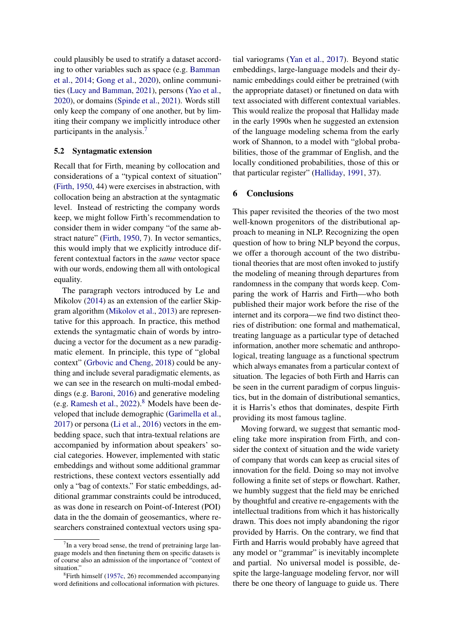could plausibly be used to stratify a dataset according to other variables such as space (e.g. [Bamman](#page-9-18) [et al.,](#page-9-18) [2014;](#page-9-18) [Gong et al.,](#page-11-21) [2020\)](#page-11-21), online communities [\(Lucy and Bamman,](#page-13-22) [2021\)](#page-13-22), persons [\(Yao et al.,](#page-15-0) [2020\)](#page-15-0), or domains [\(Spinde et al.,](#page-14-24) [2021\)](#page-14-24). Words still only keep the company of one another, but by limiting their company we implicitly introduce other participants in the analysis.<sup>[7](#page-8-0)</sup>

#### 5.2 Syntagmatic extension

Recall that for Firth, meaning by collocation and considerations of a "typical context of situation" [\(Firth,](#page-10-19) [1950,](#page-10-19) 44) were exercises in abstraction, with collocation being an abstraction at the syntagmatic level. Instead of restricting the company words keep, we might follow Firth's recommendation to consider them in wider company "of the same abstract nature" [\(Firth,](#page-10-19) [1950,](#page-10-19) 7). In vector semantics, this would imply that we explicitly introduce different contextual factors in the *same* vector space with our words, endowing them all with ontological equality.

The paragraph vectors introduced by Le and Mikolov [\(2014\)](#page-12-10) as an extension of the earlier Skipgram algorithm [\(Mikolov et al.,](#page-13-10) [2013\)](#page-13-10) are representative for this approach. In practice, this method extends the syntagmatic chain of words by introducing a vector for the document as a new paradigmatic element. In principle, this type of "global context" [\(Grbovic and Cheng,](#page-11-22) [2018\)](#page-11-22) could be anything and include several paradigmatic elements, as we can see in the research on multi-modal embeddings (e.g. [Baroni,](#page-9-19) [2016\)](#page-9-19) and generative modeling (e.g. [Ramesh et al.,](#page-13-23) [2022\)](#page-13-23).[8](#page-8-1) Models have been developed that include demographic [\(Garimella et al.,](#page-11-23) [2017\)](#page-11-23) or persona [\(Li et al.,](#page-12-24) [2016\)](#page-12-24) vectors in the embedding space, such that intra-textual relations are accompanied by information about speakers' social categories. However, implemented with static embeddings and without some additional grammar restrictions, these context vectors essentially add only a "bag of contexts." For static embeddings, additional grammar constraints could be introduced, as was done in research on Point-of-Interest (POI) data in the the domain of geosemantics, where researchers constrained contextual vectors using spatial variograms [\(Yan et al.,](#page-14-25) [2017\)](#page-14-25). Beyond static embeddings, large-language models and their dynamic embeddings could either be pretrained (with the appropriate dataset) or finetuned on data with text associated with different contextual variables. This would realize the proposal that Halliday made in the early 1990s when he suggested an extension of the language modeling schema from the early work of Shannon, to a model with "global probabilities, those of the grammar of English, and the locally conditioned probabilities, those of this or that particular register" [\(Halliday,](#page-11-15) [1991,](#page-11-15) 37).

## 6 Conclusions

This paper revisited the theories of the two most well-known progenitors of the distributional approach to meaning in NLP. Recognizing the open question of how to bring NLP beyond the corpus, we offer a thorough account of the two distributional theories that are most often invoked to justify the modeling of meaning through departures from randomness in the company that words keep. Comparing the work of Harris and Firth—who both published their major work before the rise of the internet and its corpora—we find two distinct theories of distribution: one formal and mathematical, treating language as a particular type of detached information, another more schematic and anthropological, treating language as a functional spectrum which always emanates from a particular context of situation. The legacies of both Firth and Harris can be seen in the current paradigm of corpus linguistics, but in the domain of distributional semantics, it is Harris's ethos that dominates, despite Firth providing its most famous tagline.

Moving forward, we suggest that semantic modeling take more inspiration from Firth, and consider the context of situation and the wide variety of company that words can keep as crucial sites of innovation for the field. Doing so may not involve following a finite set of steps or flowchart. Rather, we humbly suggest that the field may be enriched by thoughtful and creative re-engagements with the intellectual traditions from which it has historically drawn. This does not imply abandoning the rigor provided by Harris. On the contrary, we find that Firth and Harris would probably have agreed that any model or "grammar" is inevitably incomplete and partial. No universal model is possible, despite the large-language modeling fervor, nor will there be one theory of language to guide us. There

<span id="page-8-0"></span> $7$ In a very broad sense, the trend of pretraining large language models and then finetuning them on specific datasets is of course also an admission of the importance of "context of situation."

<span id="page-8-1"></span><sup>&</sup>lt;sup>8</sup>Firth himself [\(1957c,](#page-11-0) 26) recommended accompanying word definitions and collocational information with pictures.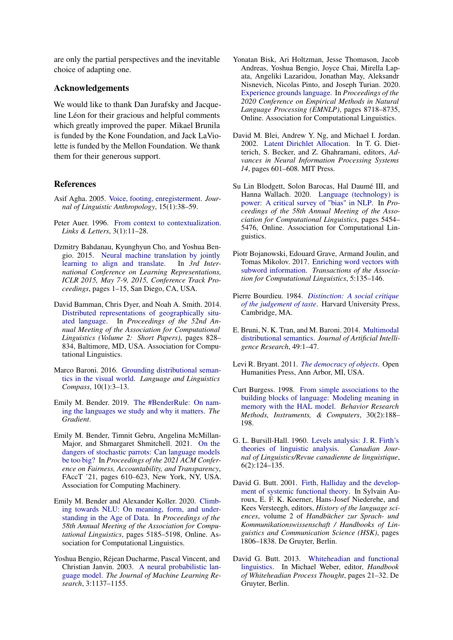are only the partial perspectives and the inevitable choice of adapting one.

## Acknowledgements

We would like to thank Dan Jurafsky and Jacqueline Léon for their gracious and helpful comments which greatly improved the paper. Mikael Brunila is funded by the Kone Foundation, and Jack LaViolette is funded by the Mellon Foundation. We thank them for their generous support.

#### References

- <span id="page-9-17"></span>Asif Agha. 2005. [Voice, footing, enregisterment.](https://anthrosource.onlinelibrary.wiley.com/doi/abs/10.1525/jlin.2005.15.1.38?casa_token=YOoxKKR7e3EAAAAA:XhD2GjhG5fWuisQ4twVW3Anlgvx4rIO48pPaYj10Ntu1Wch-GgYwmURZVrVFWA9zaJMpDsRQbjwtTWmt) *Journal of Linguistic Anthropology*, 15(1):38–59.
- <span id="page-9-16"></span>Peter Auer. 1996. [From context to contextualization.](https://raco.cat/index.php/LinksLetters/article/view/49842) *Links & Letters*, 3(1):11–28.
- <span id="page-9-8"></span>Dzmitry Bahdanau, Kyunghyun Cho, and Yoshua Bengio. 2015. [Neural machine translation by jointly](http://arxiv.org/abs/1409.0473) [learning to align and translate.](http://arxiv.org/abs/1409.0473) In *3rd International Conference on Learning Representations, ICLR 2015, May 7-9, 2015, Conference Track Proceedings*, pages 1–15, San Diego, CA, USA.
- <span id="page-9-18"></span>David Bamman, Chris Dyer, and Noah A. Smith. 2014. [Distributed representations of geographically situ](https://doi.org/10.3115/v1/P14-2134)[ated language.](https://doi.org/10.3115/v1/P14-2134) In *Proceedings of the 52nd Annual Meeting of the Association for Computational Linguistics (Volume 2: Short Papers)*, pages 828– 834, Baltimore, MD, USA. Association for Computational Linguistics.
- <span id="page-9-19"></span>Marco Baroni. 2016. [Grounding distributional seman](https://doi.org/10.1111/lnc3.12170)[tics in the visual world.](https://doi.org/10.1111/lnc3.12170) *Language and Linguistics Compass*, 10(1):3–13.
- <span id="page-9-15"></span>Emily M. Bender. 2019. [The #BenderRule: On nam](https://thegradient.pub/the-benderrule-on-naming-the-languages-we-study-and-why-it-matters/)[ing the languages we study and why it matters.](https://thegradient.pub/the-benderrule-on-naming-the-languages-we-study-and-why-it-matters/) *The Gradient*.
- <span id="page-9-2"></span>Emily M. Bender, Timnit Gebru, Angelina McMillan-Major, and Shmargaret Shmitchell. 2021. [On the](https://doi.org/10.1145/3442188.3445922) [dangers of stochastic parrots: Can language models](https://doi.org/10.1145/3442188.3445922) [be too big?](https://doi.org/10.1145/3442188.3445922) In *Proceedings of the 2021 ACM Conference on Fairness, Accountability, and Transparency*, FAccT '21, pages 610–623, New York, NY, USA. Association for Computing Machinery.
- <span id="page-9-0"></span>Emily M. Bender and Alexander Koller. 2020. [Climb](https://doi.org/10.18653/v1/2020.acl-main.463)[ing towards NLU: On meaning, form, and under](https://doi.org/10.18653/v1/2020.acl-main.463)[standing in the Age of Data.](https://doi.org/10.18653/v1/2020.acl-main.463) In *Proceedings of the 58th Annual Meeting of the Association for Computational Linguistics*, pages 5185–5198, Online. Association for Computational Linguistics.
- <span id="page-9-7"></span>Yoshua Bengio, Réjean Ducharme, Pascal Vincent, and Christian Janvin. 2003. [A neural probabilistic lan](https://dl.acm.org/doi/10.5555/944919.944966)[guage model.](https://dl.acm.org/doi/10.5555/944919.944966) *The Journal of Machine Learning Research*, 3:1137–1155.
- <span id="page-9-1"></span>Yonatan Bisk, Ari Holtzman, Jesse Thomason, Jacob Andreas, Yoshua Bengio, Joyce Chai, Mirella Lapata, Angeliki Lazaridou, Jonathan May, Aleksandr Nisnevich, Nicolas Pinto, and Joseph Turian. 2020. [Experience grounds language.](https://doi.org/10.18653/v1/2020.emnlp-main.703) In *Proceedings of the 2020 Conference on Empirical Methods in Natural Language Processing (EMNLP)*, pages 8718–8735, Online. Association for Computational Linguistics.
- <span id="page-9-5"></span>David M. Blei, Andrew Y. Ng, and Michael I. Jordan. 2002. [Latent Dirichlet Allocation.](http://papers.nips.cc/paper/2070-latent-dirichlet-allocation.pdf) In T. G. Dietterich, S. Becker, and Z. Ghahramani, editors, *Advances in Neural Information Processing Systems 14*, pages 601–608. MIT Press.
- <span id="page-9-4"></span>Su Lin Blodgett, Solon Barocas, Hal Daumé III, and Hanna Wallach. 2020. [Language \(technology\) is](http://arxiv.org/abs/2005.14050) [power: A critical survey of "bias" in NLP.](http://arxiv.org/abs/2005.14050) In *Proceedings of the 58th Annual Meeting of the Association for Computational Linguistics*, pages 5454– 5476, Online. Association for Computational Linguistics.
- <span id="page-9-9"></span>Piotr Bojanowski, Edouard Grave, Armand Joulin, and Tomas Mikolov. 2017. [Enriching word vectors with](https://doi.org/10.1162/tacl_a_00051) [subword information.](https://doi.org/10.1162/tacl_a_00051) *Transactions of the Association for Computational Linguistics*, 5:135–146.
- <span id="page-9-3"></span>Pierre Bourdieu. 1984. *[Distinction: A social critique](https://www.hup.harvard.edu/catalog.php?isbn=9780674212770) [of the judgement of taste](https://www.hup.harvard.edu/catalog.php?isbn=9780674212770)*. Harvard University Press, Cambridge, MA.
- <span id="page-9-10"></span>E. Bruni, N. K. Tran, and M. Baroni. 2014. [Multimodal](https://doi.org/10.1613/jair.4135) [distributional semantics.](https://doi.org/10.1613/jair.4135) *Journal of Artificial Intelligence Research*, 49:1–47.
- <span id="page-9-12"></span>Levi R. Bryant. 2011. *[The democracy of objects](https://library.oapen.org/handle/20.500.12657/33908)*. Open Humanities Press, Ann Arbor, MI, USA.
- <span id="page-9-6"></span>Curt Burgess. 1998. [From simple associations to the](https://link.springer.com/article/10.3758/BF03200643) [building blocks of language: Modeling meaning in](https://link.springer.com/article/10.3758/BF03200643) [memory with the HAL model.](https://link.springer.com/article/10.3758/BF03200643) *Behavior Research Methods, Instruments, & Computers*, 30(2):188– 198.
- <span id="page-9-14"></span>G. L. Bursill-Hall. 1960. [Levels analysis: J. R. Firth's](https://doi.org/10.1017/S0008413100019125) [theories of linguistic analysis.](https://doi.org/10.1017/S0008413100019125) *Canadian Journal of Linguistics/Revue canadienne de linguistique*, 6(2):124–135.
- <span id="page-9-13"></span>David G. Butt. 2001. [Firth, Halliday and the develop](https://doi.org/10.1515/9783110167351.2.31.1806)[ment of systemic functional theory.](https://doi.org/10.1515/9783110167351.2.31.1806) In Sylvain Auroux, E. F. K. Koerner, Hans-Josef Niederehe, and Kees Versteegh, editors, *History of the language sciences*, volume 2 of *Handbücher zur Sprach- und Kommunikationswissenschaft / Handbooks of Linguistics and Communication Science (HSK)*, pages 1806–1838. De Gruyter, Berlin.
- <span id="page-9-11"></span>David G. Butt. 2013. [Whiteheadian and functional](https://doi.org/10.1515/9783110333299.2.21) [linguistics.](https://doi.org/10.1515/9783110333299.2.21) In Michael Weber, editor, *Handbook of Whiteheadian Process Thought*, pages 21–32. De Gruyter, Berlin.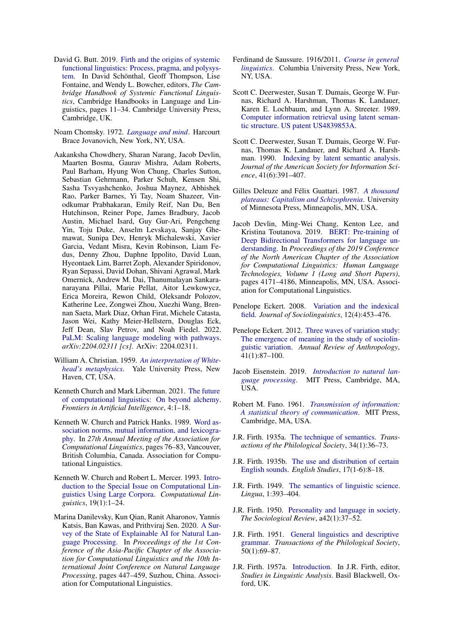- <span id="page-10-16"></span>David G. Butt. 2019. [Firth and the origins of systemic](https://doi.org/10.1017/9781316337936.003) [functional linguistics: Process, pragma, and polysys](https://doi.org/10.1017/9781316337936.003)[tem.](https://doi.org/10.1017/9781316337936.003) In David Schönthal, Geoff Thompson, Lise Fontaine, and Wendy L. Bowcher, editors, *The Cambridge Handbook of Systemic Functional Linguistics*, Cambridge Handbooks in Language and Linguistics, pages 11–34. Cambridge University Press, Cambridge, UK.
- <span id="page-10-10"></span>Noam Chomsky. 1972. *[Language and mind](https://www.worldcat.org/title/language-and-mind/oclc/265760)*. Harcourt Brace Jovanovich, New York, NY, USA.
- <span id="page-10-9"></span>Aakanksha Chowdhery, Sharan Narang, Jacob Devlin, Maarten Bosma, Gaurav Mishra, Adam Roberts, Paul Barham, Hyung Won Chung, Charles Sutton, Sebastian Gehrmann, Parker Schuh, Kensen Shi, Sasha Tsvyashchenko, Joshua Maynez, Abhishek Rao, Parker Barnes, Yi Tay, Noam Shazeer, Vinodkumar Prabhakaran, Emily Reif, Nan Du, Ben Hutchinson, Reiner Pope, James Bradbury, Jacob Austin, Michael Isard, Guy Gur-Ari, Pengcheng Yin, Toju Duke, Anselm Levskaya, Sanjay Ghemawat, Sunipa Dev, Henryk Michalewski, Xavier Garcia, Vedant Misra, Kevin Robinson, Liam Fedus, Denny Zhou, Daphne Ippolito, David Luan, Hyeontaek Lim, Barret Zoph, Alexander Spiridonov, Ryan Sepassi, David Dohan, Shivani Agrawal, Mark Omernick, Andrew M. Dai, Thanumalayan Sankaranarayana Pillai, Marie Pellat, Aitor Lewkowycz, Erica Moreira, Rewon Child, Oleksandr Polozov, Katherine Lee, Zongwei Zhou, Xuezhi Wang, Brennan Saeta, Mark Diaz, Orhan Firat, Michele Catasta, Jason Wei, Kathy Meier-Hellstern, Douglas Eck, Jeff Dean, Slav Petrov, and Noah Fiedel. 2022. [PaLM: Scaling language modeling with pathways.](http://arxiv.org/abs/2204.02311) *arXiv:2204.02311 [cs]*. ArXiv: 2204.02311.
- <span id="page-10-15"></span>William A. Christian. 1959. *[An interpretation of White](https://www.cambridge.org/core/journals/philosophy/article/abs/an-interpretation-of-whiteheads-metaphysics-by-christian-william-a-yale-university-press-london-oxford-university-press-1959-pp-419-price-48s/D1437FFE5E1952DB75912024ACD71887)[head's metaphysics](https://www.cambridge.org/core/journals/philosophy/article/abs/an-interpretation-of-whiteheads-metaphysics-by-christian-william-a-yale-university-press-london-oxford-university-press-1959-pp-419-price-48s/D1437FFE5E1952DB75912024ACD71887)*. Yale University Press, New Haven, CT, USA.
- <span id="page-10-1"></span>Kenneth Church and Mark Liberman. 2021. [The future](https://www.frontiersin.org/articles/10.3389/frai.2021.625341/full) [of computational linguistics: On beyond alchemy.](https://www.frontiersin.org/articles/10.3389/frai.2021.625341/full) *Frontiers in Artificial Intelligence*, 4:1–18.
- <span id="page-10-7"></span>Kenneth W. Church and Patrick Hanks. 1989. [Word as](https://doi.org/10.3115/981623.981633)[sociation norms, mutual information, and lexicogra](https://doi.org/10.3115/981623.981633)[phy.](https://doi.org/10.3115/981623.981633) In *27th Annual Meeting of the Association for Computational Linguistics*, pages 76–83, Vancouver, British Columbia, Canada. Association for Computational Linguistics.
- <span id="page-10-4"></span>Kenneth W. Church and Robert L. Mercer. 1993. [Intro](https://aclanthology.org/J93-1001)[duction to the Special Issue on Computational Lin](https://aclanthology.org/J93-1001)[guistics Using Large Corpora.](https://aclanthology.org/J93-1001) *Computational Linguistics*, 19(1):1–24.
- <span id="page-10-11"></span>Marina Danilevsky, Kun Qian, Ranit Aharonov, Yannis Katsis, Ban Kawas, and Prithviraj Sen. 2020. [A Sur](https://www.aclweb.org/anthology/2020.aacl-main.46)[vey of the State of Explainable AI for Natural Lan](https://www.aclweb.org/anthology/2020.aacl-main.46)[guage Processing.](https://www.aclweb.org/anthology/2020.aacl-main.46) In *Proceedings of the 1st Conference of the Asia-Pacific Chapter of the Association for Computational Linguistics and the 10th International Joint Conference on Natural Language Processing*, pages 447–459, Suzhou, China. Association for Computational Linguistics.
- <span id="page-10-17"></span>Ferdinand de Saussure. 1916/2011. *[Course in general](http://cup.columbia.edu/book/course-in-general-linguistics/9780231157261) [linguistics](http://cup.columbia.edu/book/course-in-general-linguistics/9780231157261)*. Columbia University Press, New York, NY, USA.
- <span id="page-10-5"></span>Scott C. Deerwester, Susan T. Dumais, George W. Furnas, Richard A. Harshman, Thomas K. Landauer, Karen E. Lochbaum, and Lynn A. Streeter. 1989. [Computer information retrieval using latent seman](https://patents.google.com/patent/US4839853A/en)[tic structure. US patent US4839853A.](https://patents.google.com/patent/US4839853A/en)
- <span id="page-10-6"></span>Scott C. Deerwester, Susan T. Dumais, George W. Furnas, Thomas K. Landauer, and Richard A. Harshman. 1990. [Indexing by latent semantic analysis.](https://doi.org/10.1002/(SICI)1097-4571(199009)41:6<391::AID-ASI1>3.0.CO;2-9) *Journal of the American Society for Information Science*, 41(6):391–407.
- <span id="page-10-13"></span>Gilles Deleuze and Félix Guattari. 1987. *[A thousand](https://www.upress.umn.edu/book-division/books/a-thousand-plateaus) [plateaus: Capitalism and Schizophrenia](https://www.upress.umn.edu/book-division/books/a-thousand-plateaus)*. University of Minnesota Press, Minneapolis, MN, USA.
- <span id="page-10-8"></span>Jacob Devlin, Ming-Wei Chang, Kenton Lee, and Kristina Toutanova. 2019. [BERT: Pre-training of](https://doi.org/10.18653/v1/N19-1423) [Deep Bidirectional Transformers for language un](https://doi.org/10.18653/v1/N19-1423)[derstanding.](https://doi.org/10.18653/v1/N19-1423) In *Proceedings of the 2019 Conference of the North American Chapter of the Association for Computational Linguistics: Human Language Technologies, Volume 1 (Long and Short Papers)*, pages 4171–4186, Minneapolis, MN, USA. Association for Computational Linguistics.
- <span id="page-10-2"></span>Penelope Eckert. 2008. [Variation and the indexical](https://doi.org/10.1111/j.1467-9841.2008.00374.x) [field.](https://doi.org/10.1111/j.1467-9841.2008.00374.x) *Journal of Sociolinguistics*, 12(4):453–476.
- <span id="page-10-12"></span>Penelope Eckert. 2012. [Three waves of variation study:](https://doi.org/10.1146/annurev-anthro-092611-145828) [The emergence of meaning in the study of sociolin](https://doi.org/10.1146/annurev-anthro-092611-145828)[guistic variation.](https://doi.org/10.1146/annurev-anthro-092611-145828) *Annual Review of Anthropology*, 41(1):87–100.
- <span id="page-10-0"></span>Jacob Eisenstein. 2019. *[Introduction to natural lan](https://mitpress.mit.edu/books/introduction-natural-language-processing)[guage processing](https://mitpress.mit.edu/books/introduction-natural-language-processing)*. MIT Press, Cambridge, MA, USA.
- <span id="page-10-14"></span>Robert M. Fano. 1961. *[Transmission of information:](https://mitpress.mit.edu/books/transmission-information) [A statistical theory of communication](https://mitpress.mit.edu/books/transmission-information)*. MIT Press, Cambridge, MA, USA.
- <span id="page-10-20"></span>J.R. Firth. 1935a. [The technique of semantics.](https://doi.org/https://doi.org/10.1111/j.1467-968X.1935.tb01254.x) *Transactions of the Philological Society*, 34(1):36–73.
- <span id="page-10-21"></span>J.R. Firth. 1935b. [The use and distribution of certain](https://doi.org/10.1080/00138383508596629) [English sounds.](https://doi.org/10.1080/00138383508596629) *English Studies*, 17(1-6):8–18.
- <span id="page-10-18"></span>J.R. Firth. 1949. [The semantics of linguistic science.](https://doi.org/10.1016/0024-3841(49)90085-6) *Lingua*, 1:393–404.
- <span id="page-10-19"></span>J.R. Firth. 1950. [Personality and language in society.](https://doi.org/10.1111/j.1467-954X.1950.tb02460.x) *The Sociological Review*, a42(1):37–52.
- <span id="page-10-22"></span>J.R. Firth. 1951. [General linguistics and descriptive](https://doi.org/10.1111/j.1467-968X.1951.tb00249.x) [grammar.](https://doi.org/10.1111/j.1467-968X.1951.tb00249.x) *Transactions of the Philological Society*, 50(1):69–87.
- <span id="page-10-3"></span>J.R. Firth. 1957a. [Introduction.](https://ci.nii.ac.jp/naid/10020680394/) In J.R. Firth, editor, *Studies in Linguistic Analysis*. Basil Blackwell, Oxford, UK.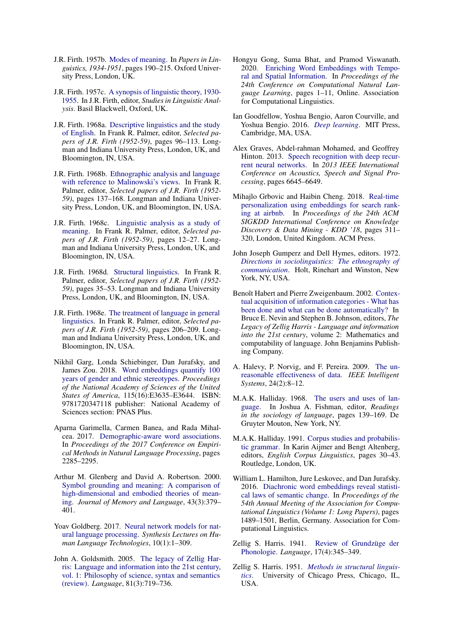- <span id="page-11-3"></span>J.R. Firth. 1957b. [Modes of meaning.](https://www.worldcat.org/title/papers-in-linguistics-1934-1951/oclc/32594232) In *Papers in Linguistics, 1934-1951*, pages 190–215. Oxford University Press, London, UK.
- <span id="page-11-0"></span>J.R. Firth. 1957c. [A synopsis of linguistic theory, 1930-](https://ci.nii.ac.jp/naid/10020680394/) [1955.](https://ci.nii.ac.jp/naid/10020680394/) In J.R. Firth, editor, *Studies in Linguistic Analysis*. Basil Blackwell, Oxford, UK.
- <span id="page-11-4"></span>J.R. Firth. 1968a. [Descriptive linguistics and the study](http://125.22.75.155:8080/handle/123456789/12198) [of English.](http://125.22.75.155:8080/handle/123456789/12198) In Frank R. Palmer, editor, *Selected papers of J.R. Firth (1952-59)*, pages 96–113. Longman and Indiana University Press, London, UK, and Bloomington, IN, USA.
- <span id="page-11-13"></span>J.R. Firth. 1968b. [Ethnographic analysis and language](http://125.22.75.155:8080/handle/123456789/12198) [with reference to Malinowski's views.](http://125.22.75.155:8080/handle/123456789/12198) In Frank R. Palmer, editor, *Selected papers of J.R. Firth (1952- 59)*, pages 137–168. Longman and Indiana University Press, London, UK, and Bloomington, IN, USA.
- <span id="page-11-5"></span>J.R. Firth. 1968c. [Linguistic analysis as a study of](http://hdl.handle.net/123456789/12198) [meaning.](http://hdl.handle.net/123456789/12198) In Frank R. Palmer, editor, *Selected papers of J.R. Firth (1952-59)*, pages 12–27. Longman and Indiana University Press, London, UK, and Bloomington, IN, USA.
- <span id="page-11-14"></span>J.R. Firth. 1968d. [Structural linguistics.](http://hdl.handle.net/123456789/12198) In Frank R. Palmer, editor, *Selected papers of J.R. Firth (1952- 59)*, pages 35–53. Longman and Indiana University Press, London, UK, and Bloomington, IN, USA.
- <span id="page-11-16"></span>J.R. Firth. 1968e. [The treatment of language in general](http://hdl.handle.net/123456789/12198) [linguistics.](http://hdl.handle.net/123456789/12198) In Frank R. Palmer, editor, *Selected papers of J.R. Firth (1952-59)*, pages 206–209. Longman and Indiana University Press, London, UK, and Bloomington, IN, USA.
- <span id="page-11-20"></span>Nikhil Garg, Londa Schiebinger, Dan Jurafsky, and James Zou. 2018. [Word embeddings quantify 100](https://doi.org/10.1073/pnas.1720347115) [years of gender and ethnic stereotypes.](https://doi.org/10.1073/pnas.1720347115) *Proceedings of the National Academy of Sciences of the United States of America*, 115(16):E3635–E3644. ISBN: 9781720347118 publisher: National Academy of Sciences section: PNAS Plus.
- <span id="page-11-23"></span>Aparna Garimella, Carmen Banea, and Rada Mihalcea. 2017. [Demographic-aware word associations.](https://aclanthology.org/D17-1242/) In *Proceedings of the 2017 Conference on Empirical Methods in Natural Language Processing*, pages 2285–2295.
- <span id="page-11-2"></span>Arthur M. Glenberg and David A. Robertson. 2000. [Symbol grounding and meaning: A comparison of](https://doi.org/10.1006/jmla.2000.2714) [high-dimensional and embodied theories of mean](https://doi.org/10.1006/jmla.2000.2714)[ing.](https://doi.org/10.1006/jmla.2000.2714) *Journal of Memory and Language*, 43(3):379– 401.
- <span id="page-11-9"></span>Yoav Goldberg. 2017. [Neural network models for nat](https://doi.org/10.2200/S00762ED1V01Y201703HLT037)[ural language processing.](https://doi.org/10.2200/S00762ED1V01Y201703HLT037) *Synthesis Lectures on Human Language Technologies*, 10(1):1–309.
- <span id="page-11-10"></span>John A. Goldsmith. 2005. [The legacy of Zellig Har](https://doi.org/10.1353/lan.2005.0127)[ris: Language and information into the 21st century,](https://doi.org/10.1353/lan.2005.0127) [vol. 1: Philosophy of science, syntax and semantics](https://doi.org/10.1353/lan.2005.0127) [\(review\).](https://doi.org/10.1353/lan.2005.0127) *Language*, 81(3):719–736.
- <span id="page-11-21"></span>Hongyu Gong, Suma Bhat, and Pramod Viswanath. 2020. [Enriching Word Embeddings with Tempo](https://www.aclweb.org/anthology/2020.conll-1.1)[ral and Spatial Information.](https://www.aclweb.org/anthology/2020.conll-1.1) In *Proceedings of the 24th Conference on Computational Natural Language Learning*, pages 1–11, Online. Association for Computational Linguistics.
- <span id="page-11-6"></span>Ian Goodfellow, Yoshua Bengio, Aaron Courville, and Yoshua Bengio. 2016. *[Deep learning](https://www.deeplearningbook.org/)*. MIT Press, Cambridge, MA, USA.
- <span id="page-11-7"></span>Alex Graves, Abdel-rahman Mohamed, and Geoffrey Hinton. 2013. [Speech recognition with deep recur](https://doi.org/10.1109/ICASSP.2013.6638947)[rent neural networks.](https://doi.org/10.1109/ICASSP.2013.6638947) In *2013 IEEE International Conference on Acoustics, Speech and Signal Processing*, pages 6645–6649.
- <span id="page-11-22"></span>Mihajlo Grbovic and Haibin Cheng. 2018. [Real-time](https://doi.org/10.1145/3219819.3219885) [personalization using embeddings for search rank](https://doi.org/10.1145/3219819.3219885)[ing at airbnb.](https://doi.org/10.1145/3219819.3219885) In *Proceedings of the 24th ACM SIGKDD International Conference on Knowledge Discovery & Data Mining - KDD '18*, pages 311– 320, London, United Kingdom. ACM Press.
- <span id="page-11-18"></span>John Joseph Gumperz and Dell Hymes, editors. 1972. *[Directions in sociolinguistics: The ethnography of](https://www.worldcat.org/title/directions-in-sociolinguistics-the-ethnography-of-communication/oclc/281997) [communication](https://www.worldcat.org/title/directions-in-sociolinguistics-the-ethnography-of-communication/oclc/281997)*. Holt, Rinehart and Winston, New York, NY, USA.
- <span id="page-11-19"></span>Benoît Habert and Pierre Zweigenbaum. 2002. [Contex](https://benjamins.com/catalog/cilt.228)[tual acquisition of information categories - What has](https://benjamins.com/catalog/cilt.228) [been done and what can be done automatically?](https://benjamins.com/catalog/cilt.228) In Bruce E. Nevin and Stephen B. Johnson, editors, *The Legacy of Zellig Harris - Language and information into the 21st century*, volume 2: Mathematics and computability of language. John Benjamins Publishing Company.
- <span id="page-11-1"></span>A. Halevy, P. Norvig, and F. Pereira. 2009. [The un](https://doi.org/10.1109/MIS.2009.36)[reasonable effectiveness of data.](https://doi.org/10.1109/MIS.2009.36) *IEEE Intelligent Systems*, 24(2):8–12.
- <span id="page-11-17"></span>M.A.K. Halliday. 1968. [The users and uses of lan](https://www.degruyter.com/document/doi/10.1515/9783110805376.139/html?lang=en)[guage.](https://www.degruyter.com/document/doi/10.1515/9783110805376.139/html?lang=en) In Joshua A. Fishman, editor, *Readings in the sociology of language*, pages 139–169. De Gruyter Mouton, New York, NY.
- <span id="page-11-15"></span>M.A.K. Halliday. 1991. [Corpus studies and probabilis](https://www.taylorfrancis.com/chapters/edit/10.4324/9781315845890-12/corpus-studies-probabilistic-grammar-halliday)[tic grammar.](https://www.taylorfrancis.com/chapters/edit/10.4324/9781315845890-12/corpus-studies-probabilistic-grammar-halliday) In Karin Aijmer and Bengt Altenberg, editors, *English Corpus Linguistics*, pages 30–43. Routledge, London, UK.
- <span id="page-11-8"></span>William L. Hamilton, Jure Leskovec, and Dan Jurafsky. 2016. [Diachronic word embeddings reveal statisti](https://doi.org/10.18653/v1/P16-1141)[cal laws of semantic change.](https://doi.org/10.18653/v1/P16-1141) In *Proceedings of the 54th Annual Meeting of the Association for Computational Linguistics (Volume 1: Long Papers)*, pages 1489–1501, Berlin, Germany. Association for Computational Linguistics.
- <span id="page-11-12"></span>Zellig S. Harris. 1941. [Review of Grundzüge der](https://doi.org/10.2307/409287) [Phonologie.](https://doi.org/10.2307/409287) *Language*, 17(4):345–349.
- <span id="page-11-11"></span>Zellig S. Harris. 1951. *[Methods in structural linguis](https://psycnet.apa.org/record/1952-03375-000)[tics](https://psycnet.apa.org/record/1952-03375-000)*. University of Chicago Press, Chicago, IL, USA.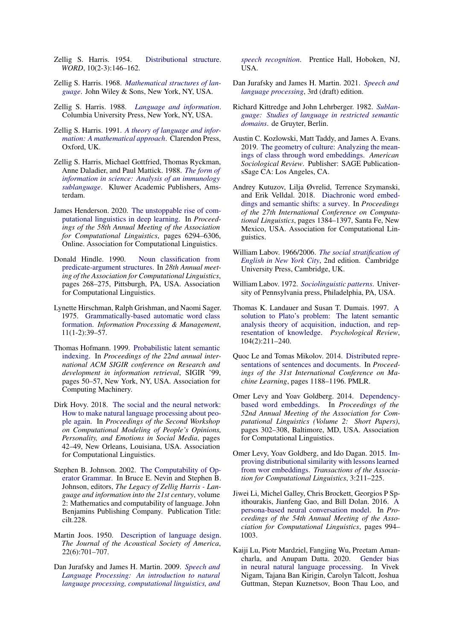- <span id="page-12-16"></span>Zellig S. Harris. 1954. [Distributional structure.](https://doi.org/10.1080/00437956.1954.11659520) *WORD*, 10(2-3):146–162.
- <span id="page-12-18"></span>Zellig S. Harris. 1968. *[Mathematical structures of lan](https://www.worldcat.org/title/mathematical-structures-of-language/oclc/00439265)[guage](https://www.worldcat.org/title/mathematical-structures-of-language/oclc/00439265)*. John Wiley & Sons, New York, NY, USA.
- <span id="page-12-19"></span>Zellig S. Harris. 1988. *[Language and information](https://books.google.com/books/about/Language_and_Information.html?id=2l2BQgAACAAJ)*. Columbia University Press, New York, NY, USA.
- <span id="page-12-17"></span>Zellig S. Harris. 1991. *[A theory of language and infor](https://global.oup.com/academic/product/a-theory-of-language-and-information-9780198242246?resultsPerPage=20&prevNumResPerPage=20&lang=es&cc=gb)[mation: A mathematical approach](https://global.oup.com/academic/product/a-theory-of-language-and-information-9780198242246?resultsPerPage=20&prevNumResPerPage=20&lang=es&cc=gb)*. Clarendon Press, Oxford, UK.
- <span id="page-12-14"></span>Zellig S. Harris, Michael Gottfried, Thomas Ryckman, Anne Daladier, and Paul Mattick. 1988. *[The form of](https://link.springer.com/book/10.1007/978-94-009-2837-4) [information in science: Analysis of an immunology](https://link.springer.com/book/10.1007/978-94-009-2837-4) [sublanguage](https://link.springer.com/book/10.1007/978-94-009-2837-4)*. Kluwer Academic Publishers, Amsterdam.
- <span id="page-12-1"></span>James Henderson. 2020. [The unstoppable rise of com](https://doi.org/10.18653/v1/2020.acl-main.561)[putational linguistics in deep learning.](https://doi.org/10.18653/v1/2020.acl-main.561) In *Proceedings of the 58th Annual Meeting of the Association for Computational Linguistics*, pages 6294–6306, Online. Association for Computational Linguistics.
- <span id="page-12-9"></span>Donald Hindle. 1990. [Noun classification from](https://dl.acm.org/doi/10.3115/981823.981857) [predicate-argument structures.](https://dl.acm.org/doi/10.3115/981823.981857) In *28th Annual meeting of the Association for Computational Linguistics*, pages 268–275, Pittsburgh, PA, USA. Association for Computational Linguistics.
- <span id="page-12-22"></span>Lynette Hirschman, Ralph Grishman, and Naomi Sager. 1975. [Grammatically-based automatic word class](https://www.sciencedirect.com/science/article/pii/0306457375900333) [formation.](https://www.sciencedirect.com/science/article/pii/0306457375900333) *Information Processing & Management*, 11(1-2):39–57.
- <span id="page-12-8"></span>Thomas Hofmann. 1999. [Probabilistic latent semantic](https://doi.org/10.1145/312624.312649) [indexing.](https://doi.org/10.1145/312624.312649) In *Proceedings of the 22nd annual international ACM SIGIR conference on Research and development in information retrieval*, SIGIR '99, pages 50–57, New York, NY, USA. Association for Computing Machinery.
- <span id="page-12-2"></span>Dirk Hovy. 2018. [The social and the neural network:](https://doi.org/10.18653/v1/W18-1106) [How to make natural language processing about peo](https://doi.org/10.18653/v1/W18-1106)[ple again.](https://doi.org/10.18653/v1/W18-1106) In *Proceedings of the Second Workshop on Computational Modeling of People's Opinions, Personality, and Emotions in Social Media*, pages 42–49, New Orleans, Louisiana, USA. Association for Computational Linguistics.
- <span id="page-12-15"></span>Stephen B. Johnson. 2002. [The Computability of Op](https://benjamins.com/catalog/cilt.228)[erator Grammar.](https://benjamins.com/catalog/cilt.228) In Bruce E. Nevin and Stephen B. Johnson, editors, *The Legacy of Zellig Harris - Language and information into the 21st century*, volume 2: Mathematics and computability of language. John Benjamins Publishing Company. Publication Title: cilt.228.
- <span id="page-12-6"></span>Martin Joos. 1950. [Description of language design.](https://doi.org/10.1121/1.1906674) *The Journal of the Acoustical Society of America*, 22(6):701–707.
- <span id="page-12-0"></span>Dan Jurafsky and James H. Martin. 2009. *[Speech and](https://web.stanford.edu/~jurafsky/slp3/) [Language Processing: An introduction to natural](https://web.stanford.edu/~jurafsky/slp3/) [language processing, computational linguistics, and](https://web.stanford.edu/~jurafsky/slp3/)*

*[speech recognition](https://web.stanford.edu/~jurafsky/slp3/)*. Prentice Hall, Hoboken, NJ, USA.

- <span id="page-12-13"></span>Dan Jurafsky and James H. Martin. 2021. *[Speech and](https://web.stanford.edu/~jurafsky/slp3/) [language processing](https://web.stanford.edu/~jurafsky/slp3/)*, 3rd (draft) edition.
- <span id="page-12-21"></span>Richard Kittredge and John Lehrberger. 1982. *[Sublan](https://www.degruyter.com/document/doi/10.1515/9783110844818/html?lang=en)[guage: Studies of language in restricted semantic](https://www.degruyter.com/document/doi/10.1515/9783110844818/html?lang=en) [domains](https://www.degruyter.com/document/doi/10.1515/9783110844818/html?lang=en)*. de Gruyter, Berlin.
- <span id="page-12-23"></span>Austin C. Kozlowski, Matt Taddy, and James A. Evans. 2019. [The geometry of culture: Analyzing the mean](https://doi.org/10.1177/0003122419877135)[ings of class through word embeddings.](https://doi.org/10.1177/0003122419877135) *American Sociological Review*. Publisher: SAGE PublicationsSage CA: Los Angeles, CA.
- <span id="page-12-3"></span>Andrey Kutuzov, Lilja Øvrelid, Terrence Szymanski, and Erik Velldal. 2018. [Diachronic word embed](https://www.aclweb.org/anthology/C18-1117)[dings and semantic shifts: a survey.](https://www.aclweb.org/anthology/C18-1117) In *Proceedings of the 27th International Conference on Computational Linguistics*, pages 1384–1397, Santa Fe, New Mexico, USA. Association for Computational Linguistics.
- <span id="page-12-20"></span>William Labov. 1966/2006. *[The social stratification of](https://www.cambridge.org/core/books/social-stratification-of-english-in-new-york-city/F9CA8EE7DAA60345E838A9DA309DB8ED) [English in New York City](https://www.cambridge.org/core/books/social-stratification-of-english-in-new-york-city/F9CA8EE7DAA60345E838A9DA309DB8ED)*, 2nd edition. Cambridge University Press, Cambridge, UK.
- <span id="page-12-4"></span>William Labov. 1972. *[Sociolinguistic patterns](https://books.google.com/books/about/Sociolinguistic_Patterns.html?id=hD0PNMu8CfQC)*. University of Pennsylvania press, Philadelphia, PA, USA.
- <span id="page-12-7"></span>Thomas K. Landauer and Susan T. Dumais. 1997. [A](https://doi.org/10.1037/0033-295X.104.2.211) [solution to Plato's problem: The latent semantic](https://doi.org/10.1037/0033-295X.104.2.211) [analysis theory of acquisition, induction, and rep](https://doi.org/10.1037/0033-295X.104.2.211)[resentation of knowledge.](https://doi.org/10.1037/0033-295X.104.2.211) *Psychological Review*, 104(2):211–240.
- <span id="page-12-10"></span>Quoc Le and Tomas Mikolov. 2014. [Distributed repre](https://proceedings.mlr.press/v32/le14.html)[sentations of sentences and documents.](https://proceedings.mlr.press/v32/le14.html) In *Proceedings of the 31st International Conference on Machine Learning*, pages 1188–1196. PMLR.
- <span id="page-12-11"></span>Omer Levy and Yoav Goldberg. 2014. [Dependency](https://doi.org/10.3115/v1/P14-2050)[based word embeddings.](https://doi.org/10.3115/v1/P14-2050) In *Proceedings of the 52nd Annual Meeting of the Association for Computational Linguistics (Volume 2: Short Papers)*, pages 302–308, Baltimore, MD, USA. Association for Computational Linguistics.
- <span id="page-12-12"></span>Omer Levy, Yoav Goldberg, and Ido Dagan. 2015. [Im](https://doi.org/10.1162/tacl_a_00134)[proving distributional similarity with lessons learned](https://doi.org/10.1162/tacl_a_00134) [from wor embeddings.](https://doi.org/10.1162/tacl_a_00134) *Transactions of the Association for Computational Linguistics*, 3:211–225.
- <span id="page-12-24"></span>Jiwei Li, Michel Galley, Chris Brockett, Georgios P Spithourakis, Jianfeng Gao, and Bill Dolan. 2016. [A](https://aclanthology.org/P16-1094/) [persona-based neural conversation model.](https://aclanthology.org/P16-1094/) In *Proceedings of the 54th Annual Meeting of the Association for Computational Linguistics*, pages 994– 1003.
- <span id="page-12-5"></span>Kaiji Lu, Piotr Mardziel, Fangjing Wu, Preetam Amancharla, and Anupam Datta. 2020. [Gender bias](https://doi.org/10.1007/978-3-030-62077-6_14) [in neural natural language processing.](https://doi.org/10.1007/978-3-030-62077-6_14) In Vivek Nigam, Tajana Ban Kirigin, Carolyn Talcott, Joshua Guttman, Stepan Kuznetsov, Boon Thau Loo, and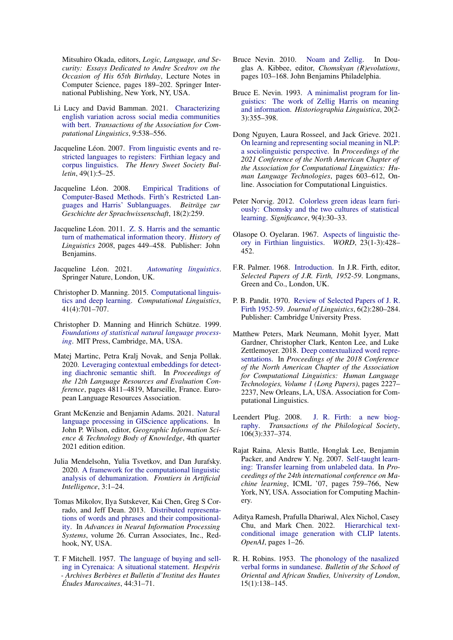Mitsuhiro Okada, editors, *Logic, Language, and Security: Essays Dedicated to Andre Scedrov on the Occasion of His 65th Birthday*, Lecture Notes in Computer Science, pages 189–202. Springer International Publishing, New York, NY, USA.

- <span id="page-13-22"></span>Li Lucy and David Bamman. 2021. [Characterizing](https://direct.mit.edu/tacl/article/doi/10.1162/tacl_a_00383/101877/Characterizing-English-Variation-across-Social) [english variation across social media communities](https://direct.mit.edu/tacl/article/doi/10.1162/tacl_a_00383/101877/Characterizing-English-Variation-across-Social) [with bert.](https://direct.mit.edu/tacl/article/doi/10.1162/tacl_a_00383/101877/Characterizing-English-Variation-across-Social) *Transactions of the Association for Computational Linguistics*, 9:538–556.
- <span id="page-13-8"></span>Jacqueline Léon. 2007. [From linguistic events and re](https://halshs.archives-ouvertes.fr/halshs-00220455)[stricted languages to registers: Firthian legacy and](https://halshs.archives-ouvertes.fr/halshs-00220455) [corpus linguistics.](https://halshs.archives-ouvertes.fr/halshs-00220455) *The Henry Sweet Society Bulletin*, 49(1):5–25.
- <span id="page-13-12"></span>Jacqueline Léon. 2008. [Empirical Traditions of](https://halshs.archives-ouvertes.fr/halshs-00370872) [Computer-Based Methods. Firth's Restricted Lan](https://halshs.archives-ouvertes.fr/halshs-00370872)[guages and Harris' Sublanguages.](https://halshs.archives-ouvertes.fr/halshs-00370872) *Beiträge zur Geschichte der Sprachwissenschaft*, 18(2):259.
- <span id="page-13-3"></span>Jacqueline Léon. 2011. [Z. S. Harris and the semantic](https://www.jbe-platform.com/content/books/9789027287175-sihols.115.39leo) [turn of mathematical information theory.](https://www.jbe-platform.com/content/books/9789027287175-sihols.115.39leo) *History of Linguistics 2008*, pages 449–458. Publisher: John Benjamins.
- <span id="page-13-7"></span>Jacqueline Léon. 2021. *[Automating linguistics](https://link.springer.com/book/10.1007/978-3-030-70642-5)*. Springer Nature, London, UK.
- <span id="page-13-1"></span>Christopher D. Manning. 2015. [Computational linguis](https://doi.org/10.1162/COLI_a_00239)[tics and deep learning.](https://doi.org/10.1162/COLI_a_00239) *Computational Linguistics*, 41(4):701–707.
- <span id="page-13-0"></span>Christopher D. Manning and Hinrich Schütze. 1999. *[Foundations of statistical natural language process](https://books.google.com/books?hl=en&lr=&id=3qnuDwAAQBAJ&oi=fnd&pg=PT12&dq=Foundations+of+statistical+natural+language+processing&ots=ysKYp6GqRW&sig=ceOjodpD4evCKnJmt1JbtAA-C5M#v=onepage&q=Foundations%20of%20statistical%20natural%20language%20processing&f=false)[ing](https://books.google.com/books?hl=en&lr=&id=3qnuDwAAQBAJ&oi=fnd&pg=PT12&dq=Foundations+of+statistical+natural+language+processing&ots=ysKYp6GqRW&sig=ceOjodpD4evCKnJmt1JbtAA-C5M#v=onepage&q=Foundations%20of%20statistical%20natural%20language%20processing&f=false)*. MIT Press, Cambridge, MA, USA.
- <span id="page-13-20"></span>Matej Martinc, Petra Kralj Novak, and Senja Pollak. 2020. [Leveraging contextual embeddings for detect](https://aclanthology.org/2020.lrec-1.592)[ing diachronic semantic shift.](https://aclanthology.org/2020.lrec-1.592) In *Proceedings of the 12th Language Resources and Evaluation Conference*, pages 4811–4819, Marseille, France. European Language Resources Association.
- <span id="page-13-5"></span>Grant McKenzie and Benjamin Adams. 2021. [Natural](https://gistbok.ucgis.org/bok-topics/natural-language-processing-giscience-applications) [language processing in GIScience applications.](https://gistbok.ucgis.org/bok-topics/natural-language-processing-giscience-applications) In John P. Wilson, editor, *Geographic Information Science & Technology Body of Knowledge*, 4th quarter 2021 edition edition.
- <span id="page-13-21"></span>Julia Mendelsohn, Yulia Tsvetkov, and Dan Jurafsky. 2020. [A framework for the computational linguistic](https://www.frontiersin.org/articles/10.3389/frai.2020.00055/full) [analysis of dehumanization.](https://www.frontiersin.org/articles/10.3389/frai.2020.00055/full) *Frontiers in Artificial Intelligence*, 3:1–24.
- <span id="page-13-10"></span>Tomas Mikolov, Ilya Sutskever, Kai Chen, Greg S Corrado, and Jeff Dean. 2013. [Distributed representa](https://papers.nips.cc/paper/2013/hash/9aa42b31882ec039965f3c4923ce901b-Abstract.html)[tions of words and phrases and their compositional](https://papers.nips.cc/paper/2013/hash/9aa42b31882ec039965f3c4923ce901b-Abstract.html)[ity.](https://papers.nips.cc/paper/2013/hash/9aa42b31882ec039965f3c4923ce901b-Abstract.html) In *Advances in Neural Information Processing Systems*, volume 26. Curran Associates, Inc., Redhook, NY, USA.
- <span id="page-13-19"></span>T. F Mitchell. 1957. [The language of buying and sell](https://www.worldcat.org/title/language-of-buying-and-selling-in-cyrenaica-a-situational-statement/oclc/873196683)[ing in Cyrenaica: A situational statement.](https://www.worldcat.org/title/language-of-buying-and-selling-in-cyrenaica-a-situational-statement/oclc/873196683) *Hespéris - Archives Berbères et Bulletin d'Institut des Hautes Études Marocaines*, 44:31–71.
- <span id="page-13-13"></span>Bruce Nevin. 2010. [Noam and Zellig.](https://library.oapen.org/bitstream/handle/20.500.12657/44084/external_content.pdf?sequence=1#page=116) In Douglas A. Kibbee, editor, *Chomskyan (R)evolutions*, pages 103–168. John Benjamins Philadelphia.
- <span id="page-13-4"></span>Bruce E. Nevin. 1993. [A minimalist program for lin](https://doi.org/10.1075/hl.20.2-3.06nev)[guistics: The work of Zellig Harris on meaning](https://doi.org/10.1075/hl.20.2-3.06nev) [and information.](https://doi.org/10.1075/hl.20.2-3.06nev) *Historiographia Linguistica*, 20(2- 3):355–398.
- <span id="page-13-6"></span>Dong Nguyen, Laura Rosseel, and Jack Grieve. 2021. [On learning and representing social meaning in NLP:](https://doi.org/10.18653/v1/2021.naacl-main.50) [a sociolinguistic perspective.](https://doi.org/10.18653/v1/2021.naacl-main.50) In *Proceedings of the 2021 Conference of the North American Chapter of the Association for Computational Linguistics: Human Language Technologies*, pages 603–612, Online. Association for Computational Linguistics.
- <span id="page-13-2"></span>Peter Norvig. 2012. [Colorless green ideas learn furi](https://doi.org/https://doi.org/10.1111/j.1740-9713.2012.00590.x)[ously: Chomsky and the two cultures of statistical](https://doi.org/https://doi.org/10.1111/j.1740-9713.2012.00590.x) [learning.](https://doi.org/https://doi.org/10.1111/j.1740-9713.2012.00590.x) *Significance*, 9(4):30–33.
- <span id="page-13-16"></span>Olasope O. Oyelaran. 1967. [Aspects of linguistic the](https://doi.org/10.1080/00437956.1967.11435497)[ory in Firthian linguistics.](https://doi.org/10.1080/00437956.1967.11435497) *WORD*, 23(1-3):428– 452.
- <span id="page-13-14"></span>F.R. Palmer. 1968. [Introduction.](https://books.google.fi/books?id=Uxu3AAAAIAAJ) In J.R. Firth, editor, *Selected Papers of J.R. Firth, 1952-59*. Longmans, Green and Co., London, UK.
- <span id="page-13-15"></span>P. B. Pandit. 1970. [Review of Selected Papers of J. R.](http://www.jstor.org/stable/4175086) [Firth 1952-59.](http://www.jstor.org/stable/4175086) *Journal of Linguistics*, 6(2):280–284. Publisher: Cambridge University Press.
- <span id="page-13-11"></span>Matthew Peters, Mark Neumann, Mohit Iyyer, Matt Gardner, Christopher Clark, Kenton Lee, and Luke Zettlemoyer. 2018. [Deep contextualized word repre](https://doi.org/10.18653/v1/N18-1202)[sentations.](https://doi.org/10.18653/v1/N18-1202) In *Proceedings of the 2018 Conference of the North American Chapter of the Association for Computational Linguistics: Human Language Technologies, Volume 1 (Long Papers)*, pages 2227– 2237, New Orleans, LA, USA. Association for Computational Linguistics.
- <span id="page-13-18"></span>Leendert Plug. 2008. [J. R. Firth: a new biog](https://doi.org/10.1111/j.1467-968X.2008.00203.x)[raphy.](https://doi.org/10.1111/j.1467-968X.2008.00203.x) *Transactions of the Philological Society*, 106(3):337–374.
- <span id="page-13-9"></span>Rajat Raina, Alexis Battle, Honglak Lee, Benjamin Packer, and Andrew Y. Ng. 2007. [Self-taught learn](https://doi.org/10.1145/1273496.1273592)[ing: Transfer learning from unlabeled data.](https://doi.org/10.1145/1273496.1273592) In *Proceedings of the 24th international conference on Machine learning*, ICML '07, pages 759–766, New York, NY, USA. Association for Computing Machinery.
- <span id="page-13-23"></span>Aditya Ramesh, Prafulla Dhariwal, Alex Nichol, Casey Chu, and Mark Chen. 2022. [Hierarchical text](https://cdn.openai.com/papers/dall-e-2.pdf)[conditional image generation with CLIP latents.](https://cdn.openai.com/papers/dall-e-2.pdf) *OpenAI*, pages 1–26.
- <span id="page-13-17"></span>R. H. Robins. 1953. [The phonology of the nasalized](http://www.jstor.org/stable/608889) [verbal forms in sundanese.](http://www.jstor.org/stable/608889) *Bulletin of the School of Oriental and African Studies, University of London*, 15(1):138–145.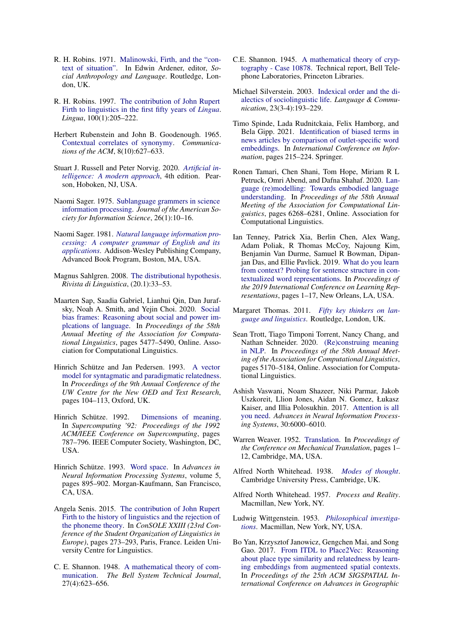- <span id="page-14-22"></span>R. H. Robins. 1971. [Malinowski, Firth, and the "con](https://www.taylorfrancis.com/chapters/mono/10.4324/9781315017617-11/malinowski-firth-context-situation-edwin-ardener)[text of situation".](https://www.taylorfrancis.com/chapters/mono/10.4324/9781315017617-11/malinowski-firth-context-situation-edwin-ardener) In Edwin Ardener, editor, *Social Anthropology and Language*. Routledge, London, UK.
- <span id="page-14-17"></span>R. H. Robins. 1997. [The contribution of John Rupert](https://doi.org/10.1016/S0024-3841(96)00042-3) [Firth to linguistics in the first fifty years of](https://doi.org/10.1016/S0024-3841(96)00042-3) *Lingua*. *Lingua*, 100(1):205–222.
- <span id="page-14-8"></span>Herbert Rubenstein and John B. Goodenough. 1965. [Contextual correlates of synonymy.](https://doi.org/10.1145/365628.365657) *Communications of the ACM*, 8(10):627–633.
- <span id="page-14-1"></span>Stuart J. Russell and Peter Norvig. 2020. *[Artificial in](http://aima.cs.berkeley.edu/)[telligence: A modern approach](http://aima.cs.berkeley.edu/)*, 4th edition. Pearson, Hoboken, NJ, USA.
- <span id="page-14-15"></span>Naomi Sager. 1975. [Sublanguage grammers in science](https://asistdl.onlinelibrary.wiley.com/doi/abs/10.1002/asi.4630260104?casa_token=kvdpTHK_zLQAAAAA:-IUgIdQjDjXPVRToOioLAZUW5QbmxYR75JcHN7LCSGTob6tYPWNMZHGThaP6mW0eQwMO0W27w45QGLc) [information processing.](https://asistdl.onlinelibrary.wiley.com/doi/abs/10.1002/asi.4630260104?casa_token=kvdpTHK_zLQAAAAA:-IUgIdQjDjXPVRToOioLAZUW5QbmxYR75JcHN7LCSGTob6tYPWNMZHGThaP6mW0eQwMO0W27w45QGLc) *Journal of the American Society for Information Science*, 26(1):10–16.
- <span id="page-14-16"></span>Naomi Sager. 1981. *[Natural language information pro](https://www.abebooks.com/9780201067699/Natural-Language-Information-Processing-Computer-0201067692/plp)[cessing: A computer grammar of English and its](https://www.abebooks.com/9780201067699/Natural-Language-Information-Processing-Computer-0201067692/plp) [applications](https://www.abebooks.com/9780201067699/Natural-Language-Information-Processing-Computer-0201067692/plp)*. Addison-Wesley Publishing Company, Advanced Book Program, Boston, MA, USA.
- <span id="page-14-2"></span>Magnus Sahlgren. 2008. [The distributional hypothesis.](https://www.diva-portal.org/smash/get/diva2:1041938/FULLTEXT01.pdf) *Rivista di Linguistica*, (20.1):33–53.
- <span id="page-14-7"></span>Maarten Sap, Saadia Gabriel, Lianhui Qin, Dan Jurafsky, Noah A. Smith, and Yejin Choi. 2020. [Social](https://doi.org/10.18653/v1/2020.acl-main.486) [bias frames: Reasoning about social and power im](https://doi.org/10.18653/v1/2020.acl-main.486)[plcations of language.](https://doi.org/10.18653/v1/2020.acl-main.486) In *Proceedings of the 58th Annual Meeting of the Association for Computational Linguistics*, pages 5477–5490, Online. Association for Computational Linguistics.
- <span id="page-14-13"></span>Hinrich Schütze and Jan Pedersen. 1993. [A vector](https://citeseerx.ist.psu.edu/viewdoc/download?doi=10.1.1.54.6279&rep=rep1&type=pdf) [model for syntagmatic and paradigmatic relatedness.](https://citeseerx.ist.psu.edu/viewdoc/download?doi=10.1.1.54.6279&rep=rep1&type=pdf) In *Proceedings of the 9th Annual Conference of the UW Centre for the New OED and Text Research*, pages 104–113, Oxford, UK.
- <span id="page-14-11"></span>Hinrich Schütze. 1992. [Dimensions of meaning.](https://doi.org/10.1109/SUPERC.1992.236684) In *Supercomputing '92: Proceedings of the 1992 ACM/IEEE Conference on Supercomputing*, pages 787–796. IEEE Computer Society, Washington, DC, USA.
- <span id="page-14-12"></span>Hinrich Schütze. 1993. [Word space.](https://dl.acm.org/doi/10.5555/645753.758140) In *Advances in Neural Information Processing Systems*, volume 5, pages 895–902. Morgan-Kaufmann, San Francisco, CA, USA.
- <span id="page-14-19"></span>Angela Senis. 2015. [The contribution of John Rupert](https://hal.archives-ouvertes.fr/hal-01515010) [Firth to the history of linguistics and the rejection of](https://hal.archives-ouvertes.fr/hal-01515010) [the phoneme theory.](https://hal.archives-ouvertes.fr/hal-01515010) In *ConSOLE XXIII (23rd Conference of the Student Organization of Linguistics in Europe)*, pages 273–293, Paris, France. Leiden University Centre for Linguistics.
- <span id="page-14-3"></span>C. E. Shannon. 1948. [A mathematical theory of com](https://doi.org/10.1002/j.1538-7305.1948.tb00917.x)[munication.](https://doi.org/10.1002/j.1538-7305.1948.tb00917.x) *The Bell System Technical Journal*, 27(4):623–656.
- <span id="page-14-9"></span>C.E. Shannon. 1945. [A mathematical theory of cryp](https://evervault.com/papers/shannon)[tography - Case 10878.](https://evervault.com/papers/shannon) Technical report, Bell Telephone Laboratories, Princeton Libraries.
- <span id="page-14-6"></span>Michael Silverstein. 2003. [Indexical order and the di](https://doi.org/10.1016/S0271-5309(03)00013-2)[alectics of sociolinguistic life.](https://doi.org/10.1016/S0271-5309(03)00013-2) *Language & Communication*, 23(3-4):193–229.
- <span id="page-14-24"></span>Timo Spinde, Lada Rudnitckaia, Felix Hamborg, and Bela Gipp. 2021. [Identification of biased terms in](https://link.springer.com/chapter/10.1007/978-3-030-71305-8_17) [news articles by comparison of outlet-specific word](https://link.springer.com/chapter/10.1007/978-3-030-71305-8_17) [embeddings.](https://link.springer.com/chapter/10.1007/978-3-030-71305-8_17) In *International Conference on Information*, pages 215–224. Springer.
- <span id="page-14-4"></span>Ronen Tamari, Chen Shani, Tom Hope, Miriam R L Petruck, Omri Abend, and Dafna Shahaf. 2020. [Lan](https://doi.org/10.18653/v1/2020.acl-main.559)[guage \(re\)modelling: Towards embodied language](https://doi.org/10.18653/v1/2020.acl-main.559) [understanding.](https://doi.org/10.18653/v1/2020.acl-main.559) In *Proceedings of the 58th Annual Meeting of the Association for Computational Linguistics*, pages 6268–6281, Online. Association for Computational Linguistics.
- <span id="page-14-23"></span>Ian Tenney, Patrick Xia, Berlin Chen, Alex Wang, Adam Poliak, R Thomas McCoy, Najoung Kim, Benjamin Van Durme, Samuel R Bowman, Dipanjan Das, and Ellie Pavlick. 2019. [What do you learn](https://arxiv.org/abs/1905.06316) [from context? Probing for sentence structure in con](https://arxiv.org/abs/1905.06316)[textualized word representations.](https://arxiv.org/abs/1905.06316) In *Proceedings of the 2019 International Conference on Learning Representations*, pages 1–17, New Orleans, LA, USA.
- <span id="page-14-18"></span>Margaret Thomas. 2011. *[Fifty key thinkers on lan](https://doi.org/10.4324/9780203814482)[guage and linguistics](https://doi.org/10.4324/9780203814482)*. Routledge, London, UK.
- <span id="page-14-5"></span>Sean Trott, Tiago Timponi Torrent, Nancy Chang, and Nathan Schneider. 2020. [\(Re\)construing meaning](https://doi.org/10.18653/v1/2020.acl-main.462) [in NLP.](https://doi.org/10.18653/v1/2020.acl-main.462) In *Proceedings of the 58th Annual Meeting of the Association for Computational Linguistics*, pages 5170–5184, Online. Association for Computational Linguistics.
- <span id="page-14-14"></span>Ashish Vaswani, Noam Shazeer, Niki Parmar, Jakob Uszkoreit, Llion Jones, Aidan N. Gomez, Łukasz Kaiser, and Illia Polosukhin. 2017. [Attention is all](https://papers.nips.cc/paper/2017/hash/3f5ee243547dee91fbd053c1c4a845aa-Abstract.html) [you need.](https://papers.nips.cc/paper/2017/hash/3f5ee243547dee91fbd053c1c4a845aa-Abstract.html) *Advances in Neural Information Processing Systems*, 30:6000–6010.
- <span id="page-14-10"></span>Warren Weaver. 1952. [Translation.](https://aclanthology.org/1952.earlymt-1.1) In *Proceedings of the Conference on Mechanical Translation*, pages 1– 12, Cambridge, MA, USA.
- <span id="page-14-0"></span>Alfred North Whitehead. 1938. *[Modes of thought](https://www.simonandschuster.com/books/Modes-of-Thought/Alfred-North-Whitehead/9780029352106)*. Cambridge University Press, Cambridge, UK.
- <span id="page-14-20"></span>Alfred North Whitehead. 1957. *Process and Reality*. Macmillan, New York, NY.
- <span id="page-14-21"></span>Ludwig Wittgenstein. 1953. *[Philosophical investiga](https://www.worldcat.org/title/philosophical-investigations/oclc/371912)[tions](https://www.worldcat.org/title/philosophical-investigations/oclc/371912)*. Macmillan, New York, NY, USA.
- <span id="page-14-25"></span>Bo Yan, Krzysztof Janowicz, Gengchen Mai, and Song Gao. 2017. [From ITDL to Place2Vec: Reasoning](https://doi.org/10.1145/3139958.3140054) [about place type similarity and relatedness by learn](https://doi.org/10.1145/3139958.3140054)[ing embeddings from augmenteed spatial contexts.](https://doi.org/10.1145/3139958.3140054) In *Proceedings of the 25th ACM SIGSPATIAL International Conference on Advances in Geographic*